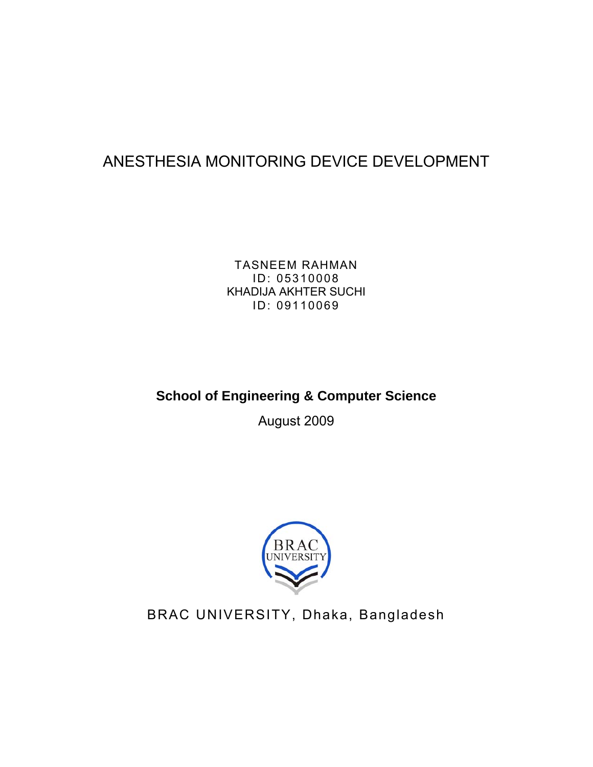# ANESTHESIA MONITORING DEVICE DEVELOPMENT

TASNEEM RAHMAN ID: 05310008 KHADIJA AKHTER SUCHI ID: 09110069

# **School of Engineering & Computer Science**

August 2009



BRAC UNIVERSITY, Dhaka, Bangladesh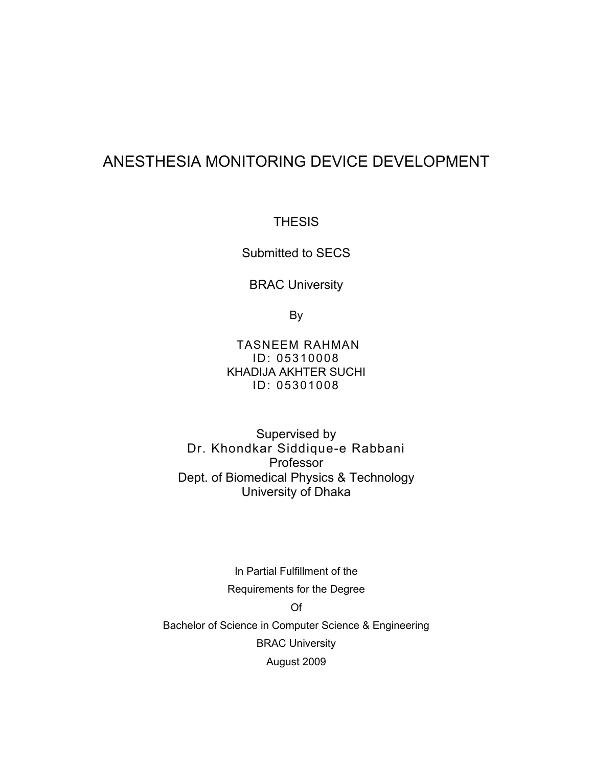# ANESTHESIA MONITORING DEVICE DEVELOPMENT

**THESIS** 

Submitted to SECS

BRAC University

By

TASNEEM RAHMAN ID: 05310008 KHADIJA AKHTER SUCHI ID: 05301008

Supervised by Dr. Khondkar Siddique-e Rabbani Professor Dept. of Biomedical Physics & Technology University of Dhaka

In Partial Fulfillment of the Requirements for the Degree Of Bachelor of Science in Computer Science & Engineering BRAC University August 2009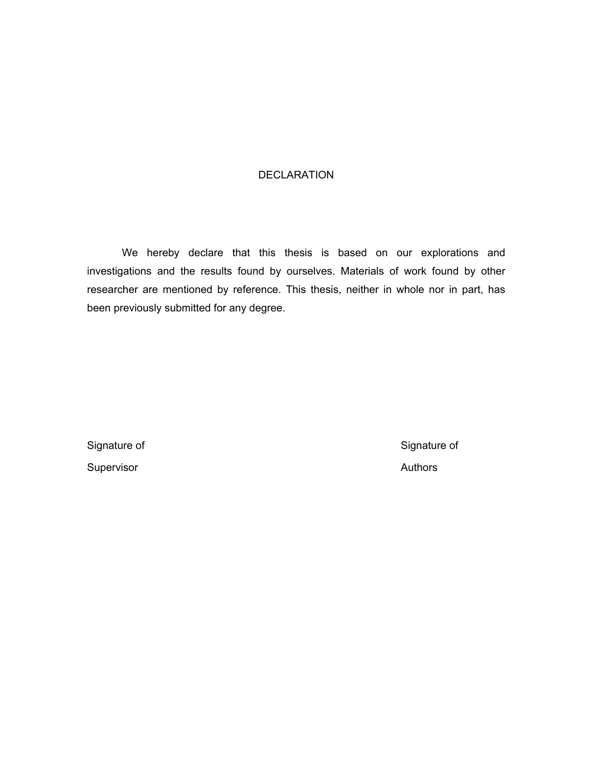#### DECLARATION

We hereby declare that this thesis is based on our explorations and investigations and the results found by ourselves. Materials of work found by other researcher are mentioned by reference. This thesis, neither in whole nor in part, has been previously submitted for any degree.

Supervisor **Authors Authors** 

Signature of Signature of Signature of Signature of Signature of Signature of Signature of Signature of Signature of Signature of Signature of Signature of Signature of Signature of Signature of Signature of Signature of S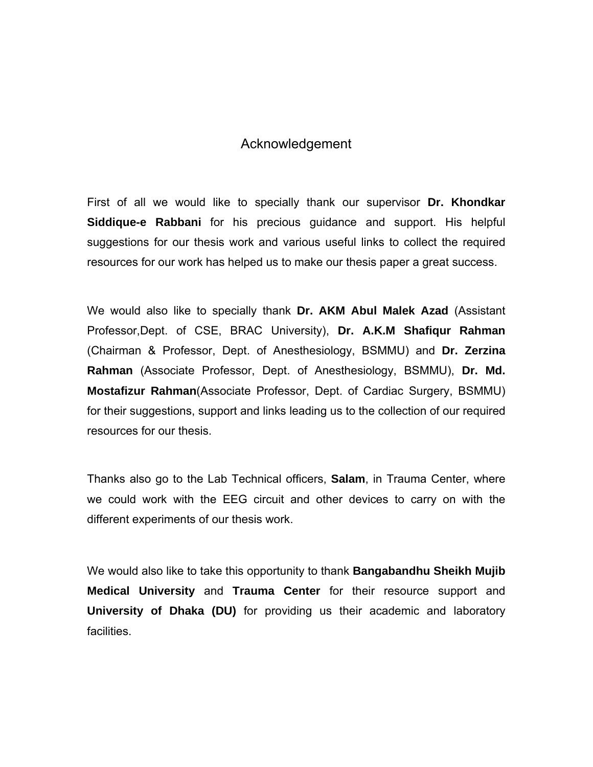### Acknowledgement

First of all we would like to specially thank our supervisor **Dr. Khondkar Siddique-e Rabbani** for his precious guidance and support. His helpful suggestions for our thesis work and various useful links to collect the required resources for our work has helped us to make our thesis paper a great success.

We would also like to specially thank **Dr. AKM Abul Malek Azad** (Assistant Professor,Dept. of CSE, BRAC University), **Dr. A.K.M Shafiqur Rahman** (Chairman & Professor, Dept. of Anesthesiology, BSMMU) and **Dr. Zerzina Rahman** (Associate Professor, Dept. of Anesthesiology, BSMMU), **Dr. Md. Mostafizur Rahman**(Associate Professor, Dept. of Cardiac Surgery, BSMMU) for their suggestions, support and links leading us to the collection of our required resources for our thesis.

Thanks also go to the Lab Technical officers, **Salam**, in Trauma Center, where we could work with the EEG circuit and other devices to carry on with the different experiments of our thesis work.

We would also like to take this opportunity to thank **Bangabandhu Sheikh Mujib Medical University** and **Trauma Center** for their resource support and **University of Dhaka (DU)** for providing us their academic and laboratory facilities.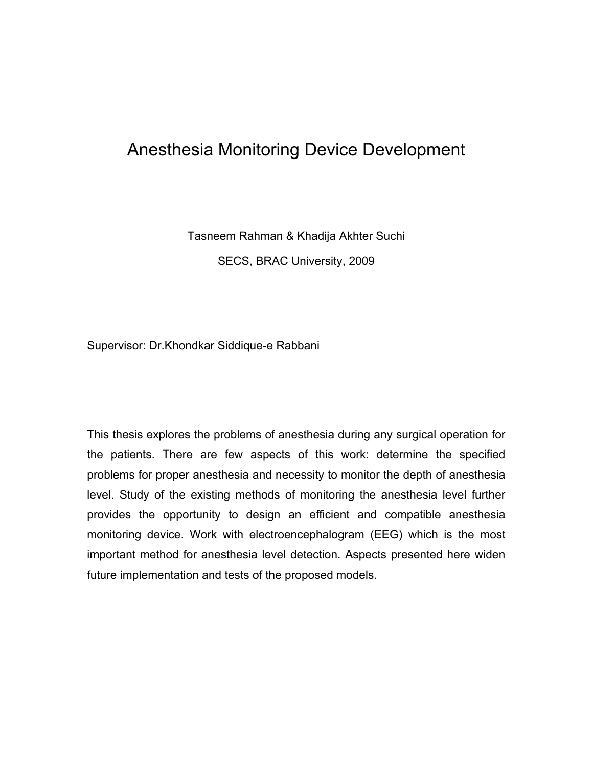# Anesthesia Monitoring Device Development

Tasneem Rahman & Khadija Akhter Suchi SECS, BRAC University, 2009

Supervisor: Dr.Khondkar Siddique-e Rabbani

This thesis explores the problems of anesthesia during any surgical operation for the patients. There are few aspects of this work: determine the specified problems for proper anesthesia and necessity to monitor the depth of anesthesia level. Study of the existing methods of monitoring the anesthesia level further provides the opportunity to design an efficient and compatible anesthesia monitoring device. Work with electroencephalogram (EEG) which is the most important method for anesthesia level detection. Aspects presented here widen future implementation and tests of the proposed models.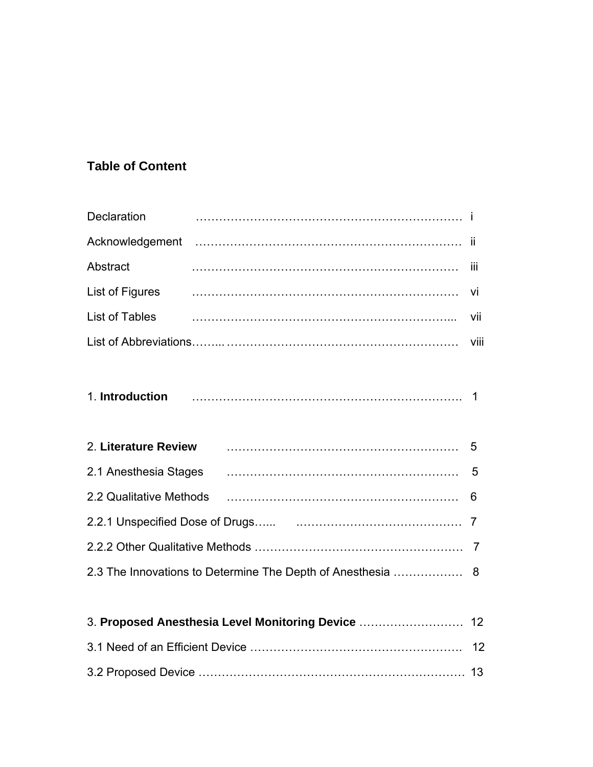# **Table of Content**

| Declaration          |                                                                                                         |      |  |  |
|----------------------|---------------------------------------------------------------------------------------------------------|------|--|--|
|                      |                                                                                                         |      |  |  |
| Abstract             |                                                                                                         | iii  |  |  |
| List of Figures      |                                                                                                         | Vİ   |  |  |
| List of Tables       |                                                                                                         | vii  |  |  |
|                      |                                                                                                         | Viii |  |  |
|                      |                                                                                                         |      |  |  |
| 2. Literature Review |                                                                                                         | 5    |  |  |
|                      |                                                                                                         | 5    |  |  |
|                      | 2.2 Qualitative Methods (and according contract of the Methods (and according contract of the Methods ) | 6    |  |  |
|                      |                                                                                                         | 7    |  |  |
|                      |                                                                                                         |      |  |  |
|                      |                                                                                                         |      |  |  |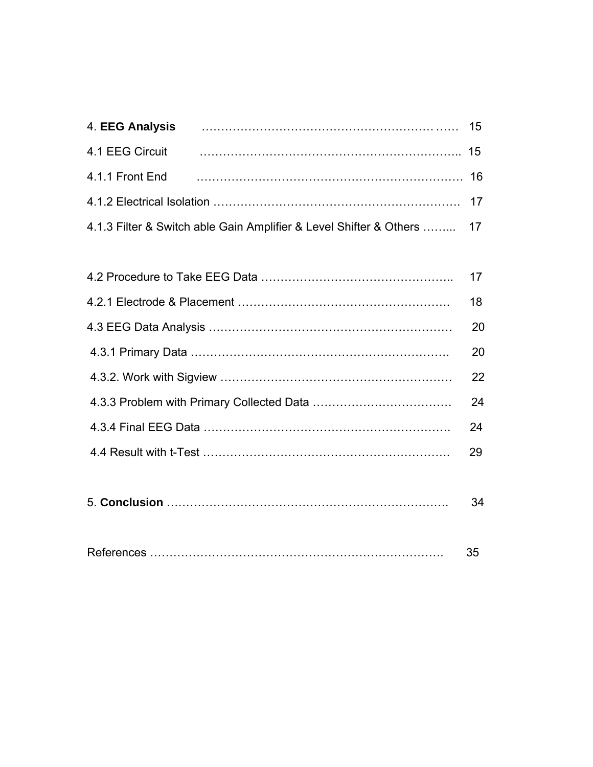| 4.1 EEG Circuit |                                                                        |  |
|-----------------|------------------------------------------------------------------------|--|
|                 |                                                                        |  |
|                 |                                                                        |  |
|                 | 4.1.3 Filter & Switch able Gain Amplifier & Level Shifter & Others  17 |  |

| 18 |
|----|
| 20 |
| 20 |
| 22 |
| 24 |
| 24 |
| 29 |
|    |

|--|--|

|--|--|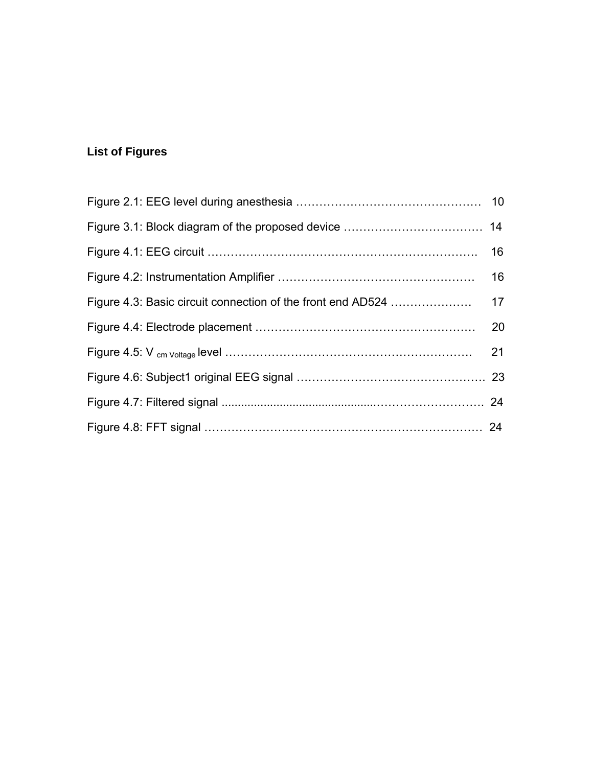# **List of Figures**

| 21 |
|----|
|    |
|    |
|    |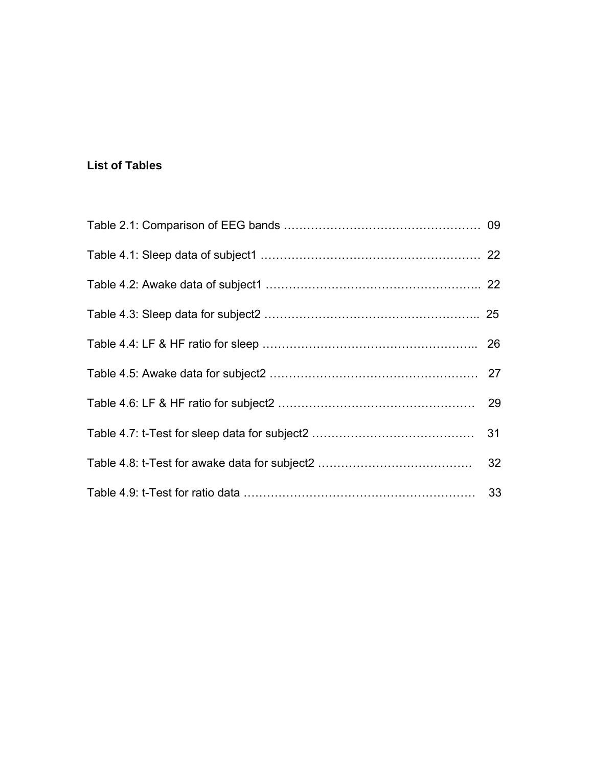### **List of Tables**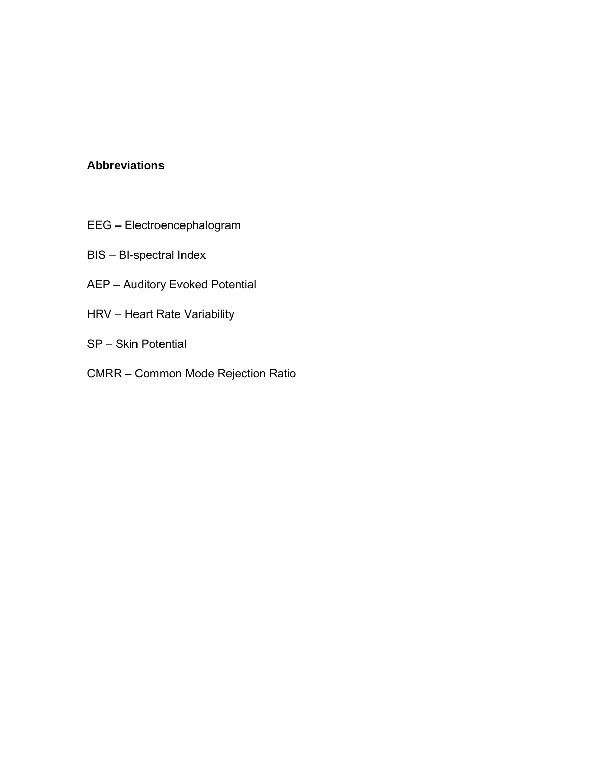#### **Abbreviations**

- EEG Electroencephalogram
- BIS BI-spectral Index
- AEP Auditory Evoked Potential
- HRV Heart Rate Variability
- SP Skin Potential
- CMRR Common Mode Rejection Ratio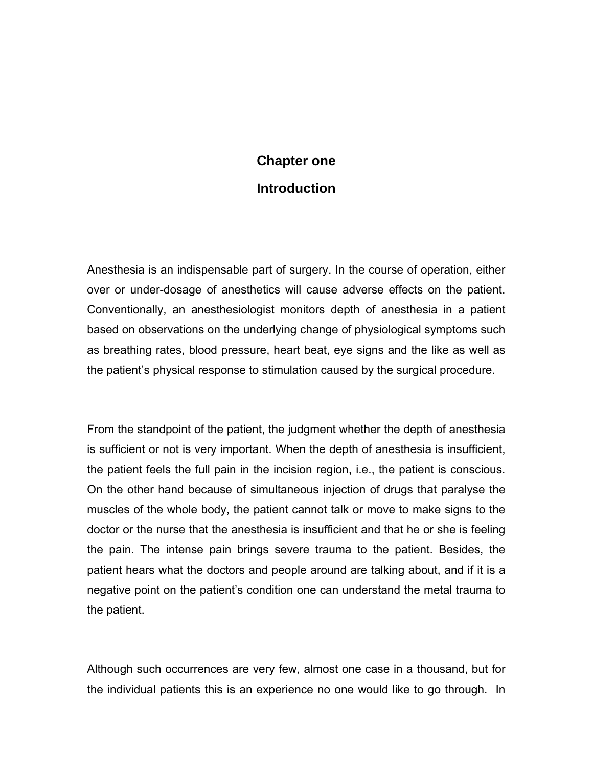# **Chapter one Introduction**

Anesthesia is an indispensable part of surgery. In the course of operation, either over or under-dosage of anesthetics will cause adverse effects on the patient. Conventionally, an anesthesiologist monitors depth of anesthesia in a patient based on observations on the underlying change of physiological symptoms such as breathing rates, blood pressure, heart beat, eye signs and the like as well as the patient's physical response to stimulation caused by the surgical procedure.

From the standpoint of the patient, the judgment whether the depth of anesthesia is sufficient or not is very important. When the depth of anesthesia is insufficient, the patient feels the full pain in the incision region, i.e., the patient is conscious. On the other hand because of simultaneous injection of drugs that paralyse the muscles of the whole body, the patient cannot talk or move to make signs to the doctor or the nurse that the anesthesia is insufficient and that he or she is feeling the pain. The intense pain brings severe trauma to the patient. Besides, the patient hears what the doctors and people around are talking about, and if it is a negative point on the patient's condition one can understand the metal trauma to the patient.

Although such occurrences are very few, almost one case in a thousand, but for the individual patients this is an experience no one would like to go through. In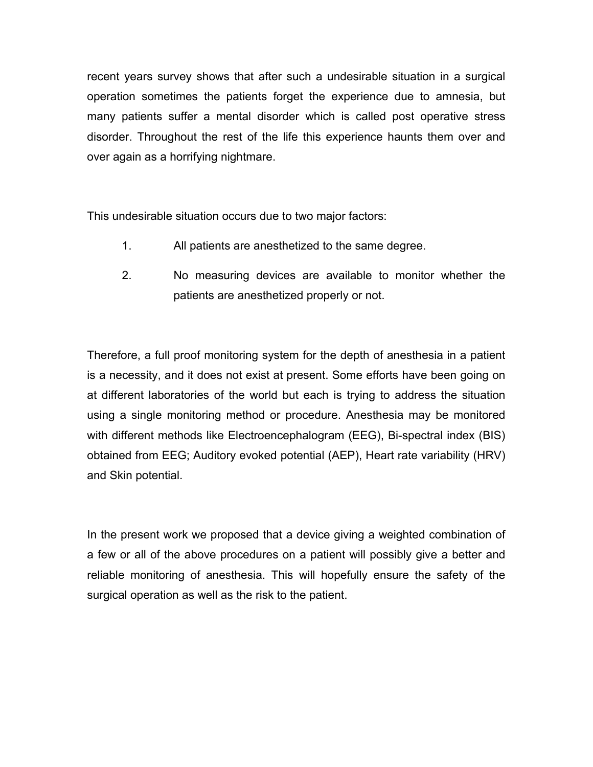recent years survey shows that after such a undesirable situation in a surgical operation sometimes the patients forget the experience due to amnesia, but many patients suffer a mental disorder which is called post operative stress disorder. Throughout the rest of the life this experience haunts them over and over again as a horrifying nightmare.

This undesirable situation occurs due to two major factors:

- 1. All patients are anesthetized to the same degree.
- 2. No measuring devices are available to monitor whether the patients are anesthetized properly or not.

Therefore, a full proof monitoring system for the depth of anesthesia in a patient is a necessity, and it does not exist at present. Some efforts have been going on at different laboratories of the world but each is trying to address the situation using a single monitoring method or procedure. Anesthesia may be monitored with different methods like Electroencephalogram (EEG), Bi-spectral index (BIS) obtained from EEG; Auditory evoked potential (AEP), Heart rate variability (HRV) and Skin potential.

In the present work we proposed that a device giving a weighted combination of a few or all of the above procedures on a patient will possibly give a better and reliable monitoring of anesthesia. This will hopefully ensure the safety of the surgical operation as well as the risk to the patient.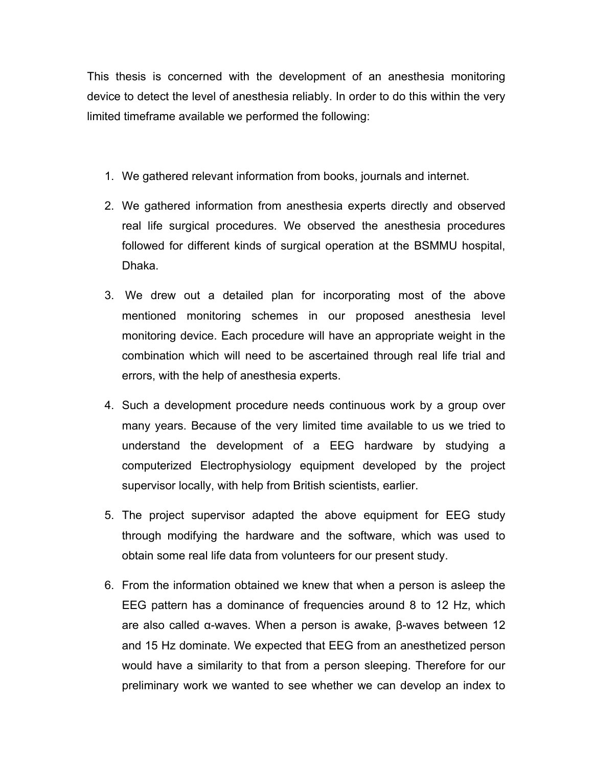This thesis is concerned with the development of an anesthesia monitoring device to detect the level of anesthesia reliably. In order to do this within the very limited timeframe available we performed the following:

- 1. We gathered relevant information from books, journals and internet.
- 2. We gathered information from anesthesia experts directly and observed real life surgical procedures. We observed the anesthesia procedures followed for different kinds of surgical operation at the BSMMU hospital, Dhaka.
- 3. We drew out a detailed plan for incorporating most of the above mentioned monitoring schemes in our proposed anesthesia level monitoring device. Each procedure will have an appropriate weight in the combination which will need to be ascertained through real life trial and errors, with the help of anesthesia experts.
- 4. Such a development procedure needs continuous work by a group over many years. Because of the very limited time available to us we tried to understand the development of a EEG hardware by studying a computerized Electrophysiology equipment developed by the project supervisor locally, with help from British scientists, earlier.
- 5. The project supervisor adapted the above equipment for EEG study through modifying the hardware and the software, which was used to obtain some real life data from volunteers for our present study.
- 6. From the information obtained we knew that when a person is asleep the EEG pattern has a dominance of frequencies around 8 to 12 Hz, which are also called α-waves. When a person is awake, β-waves between 12 and 15 Hz dominate. We expected that EEG from an anesthetized person would have a similarity to that from a person sleeping. Therefore for our preliminary work we wanted to see whether we can develop an index to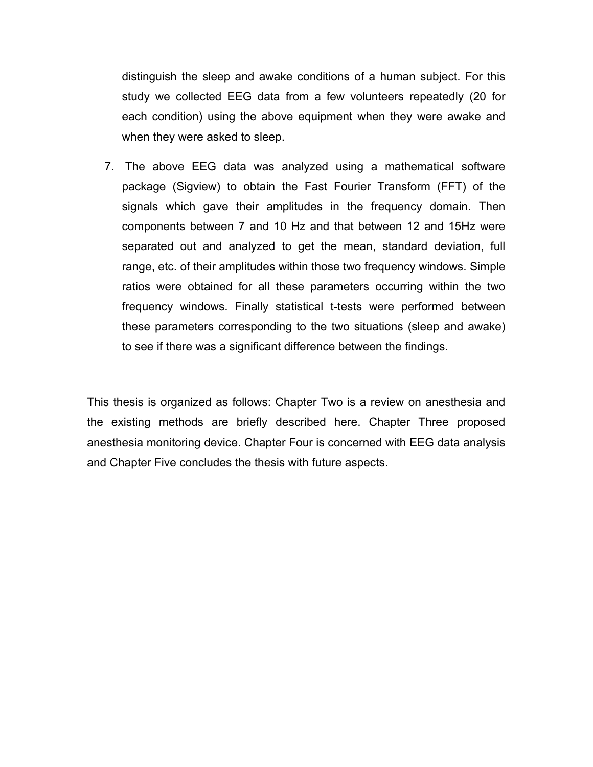distinguish the sleep and awake conditions of a human subject. For this study we collected EEG data from a few volunteers repeatedly (20 for each condition) using the above equipment when they were awake and when they were asked to sleep.

7. The above EEG data was analyzed using a mathematical software package (Sigview) to obtain the Fast Fourier Transform (FFT) of the signals which gave their amplitudes in the frequency domain. Then components between 7 and 10 Hz and that between 12 and 15Hz were separated out and analyzed to get the mean, standard deviation, full range, etc. of their amplitudes within those two frequency windows. Simple ratios were obtained for all these parameters occurring within the two frequency windows. Finally statistical t-tests were performed between these parameters corresponding to the two situations (sleep and awake) to see if there was a significant difference between the findings.

This thesis is organized as follows: Chapter Two is a review on anesthesia and the existing methods are briefly described here. Chapter Three proposed anesthesia monitoring device. Chapter Four is concerned with EEG data analysis and Chapter Five concludes the thesis with future aspects.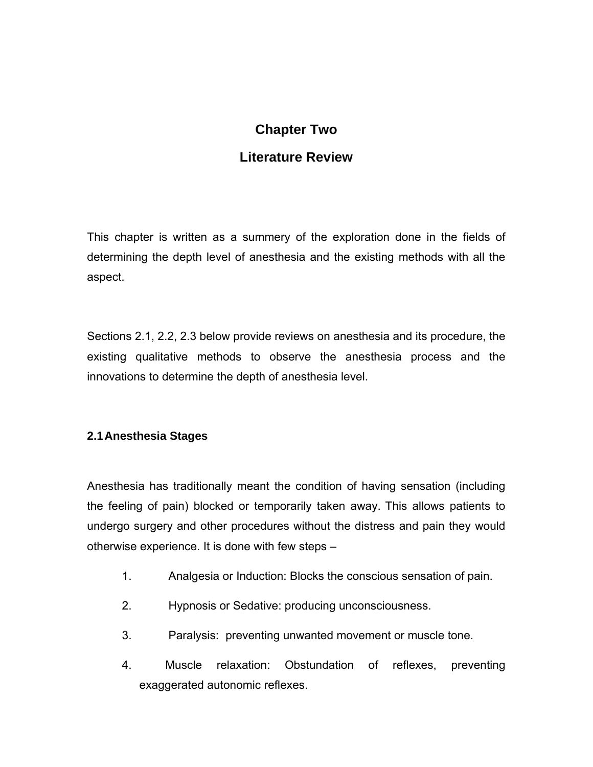## **Chapter Two**

## **Literature Review**

This chapter is written as a summery of the exploration done in the fields of determining the depth level of anesthesia and the existing methods with all the aspect.

Sections 2.1, 2.2, 2.3 below provide reviews on anesthesia and its procedure, the existing qualitative methods to observe the anesthesia process and the innovations to determine the depth of anesthesia level.

#### **2.1 Anesthesia Stages**

Anesthesia has traditionally meant the condition of having sensation (including the feeling of pain) blocked or temporarily taken away. This allows patients to undergo surgery and other procedures without the distress and pain they would otherwise experience. It is done with few steps –

- 1. Analgesia or Induction: Blocks the conscious sensation of pain.
- 2. Hypnosis or Sedative: producing unconsciousness.
- 3. Paralysis: preventing unwanted movement or muscle tone.
- 4. Muscle relaxation: Obstundation of reflexes, preventing exaggerated autonomic reflexes.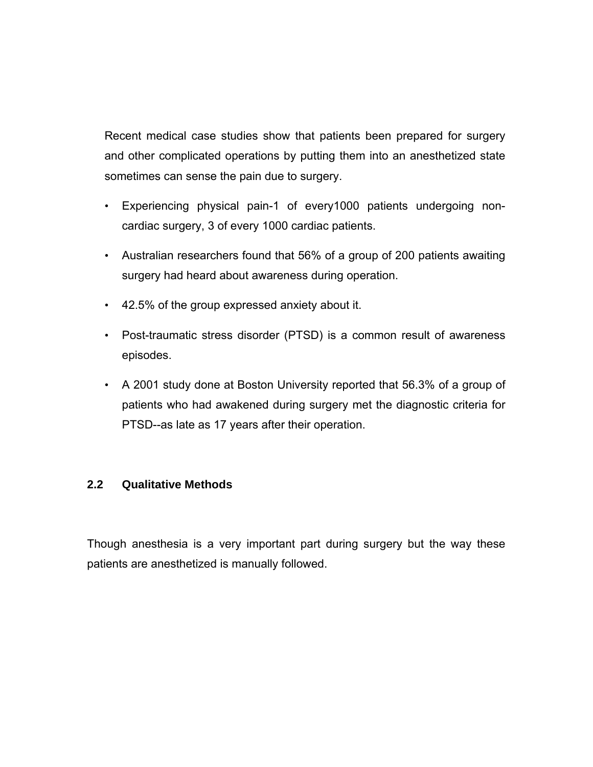Recent medical case studies show that patients been prepared for surgery and other complicated operations by putting them into an anesthetized state sometimes can sense the pain due to surgery.

- Experiencing physical pain-1 of every1000 patients undergoing noncardiac surgery, 3 of every 1000 cardiac patients.
- Australian researchers found that 56% of a group of 200 patients awaiting surgery had heard about awareness during operation.
- 42.5% of the group expressed anxiety about it.
- Post-traumatic stress disorder (PTSD) is a common result of awareness episodes.
- A 2001 study done at Boston University reported that 56.3% of a group of patients who had awakened during surgery met the diagnostic criteria for PTSD--as late as 17 years after their operation.

#### **2.2 Qualitative Methods**

Though anesthesia is a very important part during surgery but the way these patients are anesthetized is manually followed.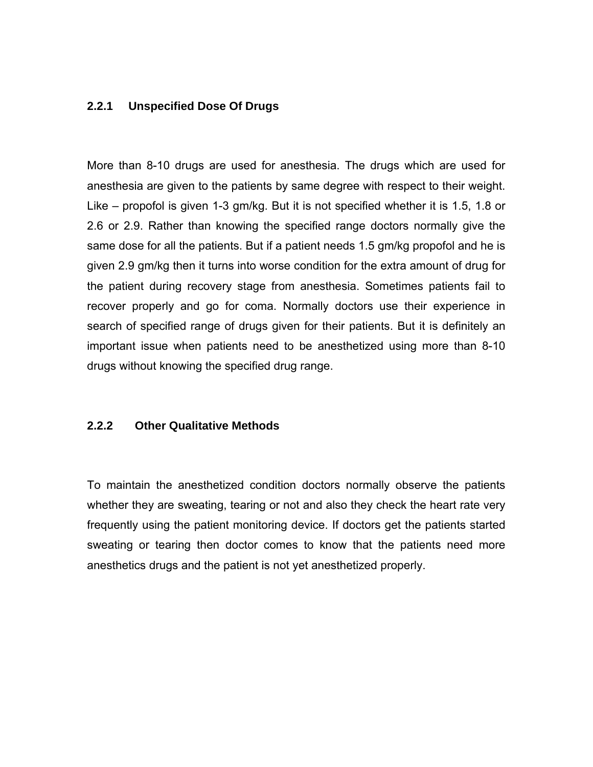#### **2.2.1 Unspecified Dose Of Drugs**

More than 8-10 drugs are used for anesthesia. The drugs which are used for anesthesia are given to the patients by same degree with respect to their weight. Like – propofol is given 1-3 gm/kg. But it is not specified whether it is 1.5, 1.8 or 2.6 or 2.9. Rather than knowing the specified range doctors normally give the same dose for all the patients. But if a patient needs 1.5 gm/kg propofol and he is given 2.9 gm/kg then it turns into worse condition for the extra amount of drug for the patient during recovery stage from anesthesia. Sometimes patients fail to recover properly and go for coma. Normally doctors use their experience in search of specified range of drugs given for their patients. But it is definitely an important issue when patients need to be anesthetized using more than 8-10 drugs without knowing the specified drug range.

#### **2.2.2 Other Qualitative Methods**

To maintain the anesthetized condition doctors normally observe the patients whether they are sweating, tearing or not and also they check the heart rate very frequently using the patient monitoring device. If doctors get the patients started sweating or tearing then doctor comes to know that the patients need more anesthetics drugs and the patient is not yet anesthetized properly.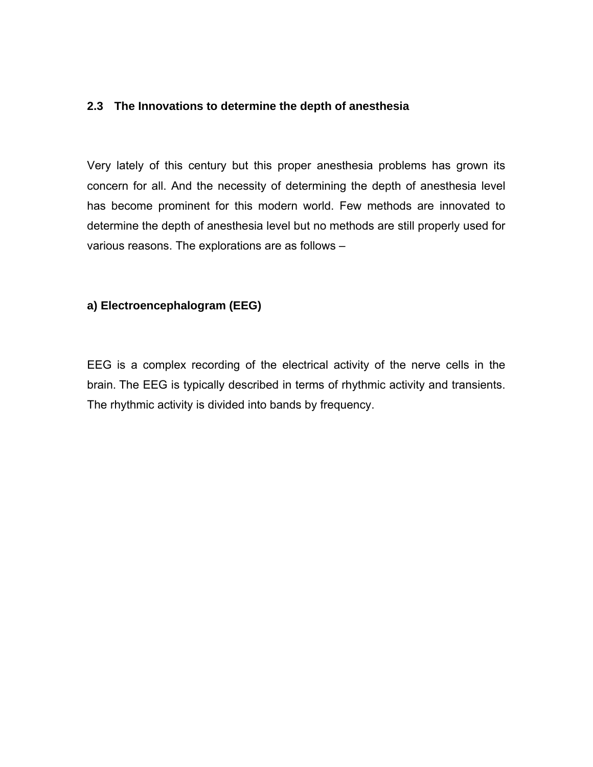#### **2.3 The Innovations to determine the depth of anesthesia**

Very lately of this century but this proper anesthesia problems has grown its concern for all. And the necessity of determining the depth of anesthesia level has become prominent for this modern world. Few methods are innovated to determine the depth of anesthesia level but no methods are still properly used for various reasons. The explorations are as follows –

#### **a) Electroencephalogram (EEG)**

EEG is a complex recording of the electrical activity of the nerve cells in the brain. The EEG is typically described in terms of rhythmic activity and transients. The rhythmic activity is divided into bands by frequency.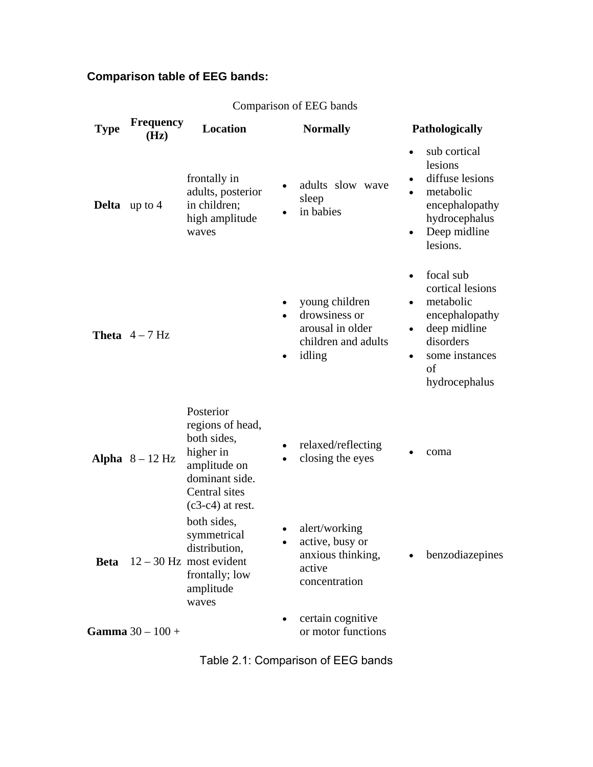# **Comparison table of EEG bands:**

| <b>Type</b>            | <b>Frequency</b><br>(Hz)  | <b>Location</b>                                                                                                                    |           | <b>Normally</b>                                                                      | <b>Pathologically</b>                            |                                                                                                                                    |  |
|------------------------|---------------------------|------------------------------------------------------------------------------------------------------------------------------------|-----------|--------------------------------------------------------------------------------------|--------------------------------------------------|------------------------------------------------------------------------------------------------------------------------------------|--|
| <b>Delta</b> up to $4$ |                           | frontally in<br>adults, posterior<br>in children;<br>high amplitude<br>waves                                                       |           | adults slow wave<br>sleep<br>in babies                                               | $\bullet$<br>$\bullet$                           | sub cortical<br>lesions<br>diffuse lesions<br>metabolic<br>encephalopathy<br>hydrocephalus<br>Deep midline<br>lesions.             |  |
|                        | <b>Theta</b> $4-7$ Hz     |                                                                                                                                    | $\bullet$ | young children<br>drowsiness or<br>arousal in older<br>children and adults<br>idling | $\bullet$<br>$\bullet$<br>$\bullet$<br>$\bullet$ | focal sub<br>cortical lesions<br>metabolic<br>encephalopathy<br>deep midline<br>disorders<br>some instances<br>of<br>hydrocephalus |  |
|                        | Alpha $8 - 12$ Hz         | Posterior<br>regions of head,<br>both sides,<br>higher in<br>amplitude on<br>dominant side.<br>Central sites<br>$(c3-c4)$ at rest. |           | relaxed/reflecting<br>closing the eyes                                               |                                                  | coma                                                                                                                               |  |
|                        |                           | both sides,<br>symmetrical<br>distribution,<br><b>Beta</b> $12 - 30$ Hz most evident<br>frontally; low<br>amplitude<br>waves       |           | alert/working<br>active, busy or<br>anxious thinking,<br>active<br>concentration     | ٠                                                | benzodiazepines                                                                                                                    |  |
|                        | <b>Gamma</b> $30 - 100 +$ |                                                                                                                                    |           | certain cognitive<br>or motor functions                                              |                                                  |                                                                                                                                    |  |

### Comparison of EEG bands

Table 2.1: Comparison of EEG bands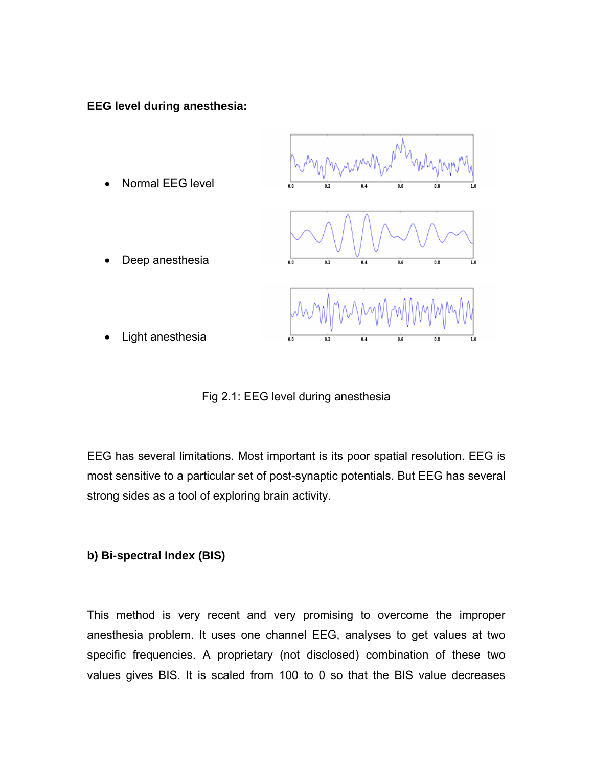**EEG level during anesthesia:** 



Fig 2.1: EEG level during anesthesia

EEG has several limitations. Most important is its poor spatial resolution. EEG is most sensitive to a particular set of post-synaptic potentials. But EEG has several strong sides as a tool of exploring brain activity.

#### **b) Bi-spectral Index (BIS)**

This method is very recent and very promising to overcome the improper anesthesia problem. It uses one channel EEG, analyses to get values at two specific frequencies. A proprietary (not disclosed) combination of these two values gives BIS. It is scaled from 100 to 0 so that the BIS value decreases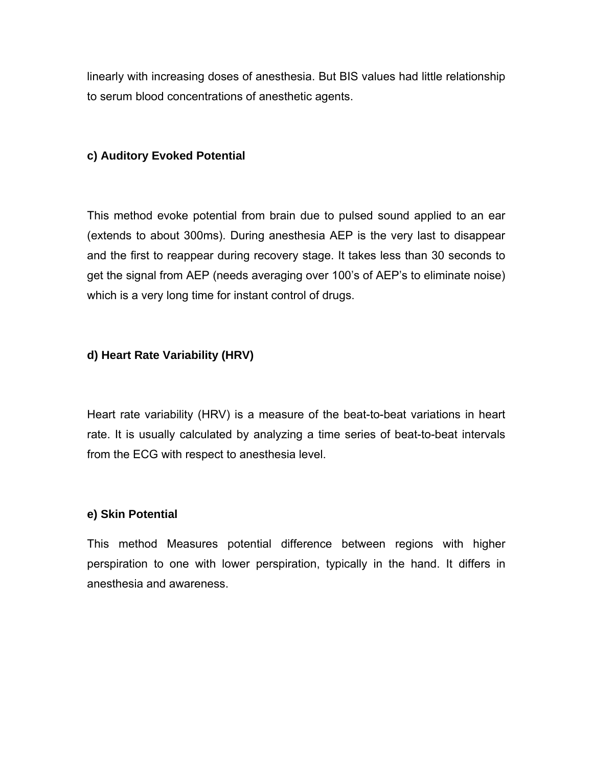linearly with increasing doses of anesthesia. But BIS values had little relationship to serum blood concentrations of anesthetic agents.

### **c) Auditory Evoked Potential**

This method evoke potential from brain due to pulsed sound applied to an ear (extends to about 300ms). During anesthesia AEP is the very last to disappear and the first to reappear during recovery stage. It takes less than 30 seconds to get the signal from AEP (needs averaging over 100's of AEP's to eliminate noise) which is a very long time for instant control of drugs.

### **d) Heart Rate Variability (HRV)**

Heart rate variability (HRV) is a measure of the beat-to-beat variations in heart rate. It is usually calculated by analyzing a time series of beat-to-beat intervals from the ECG with respect to anesthesia level.

#### **e) Skin Potential**

This method Measures potential difference between regions with higher perspiration to one with lower perspiration, typically in the hand. It differs in anesthesia and awareness.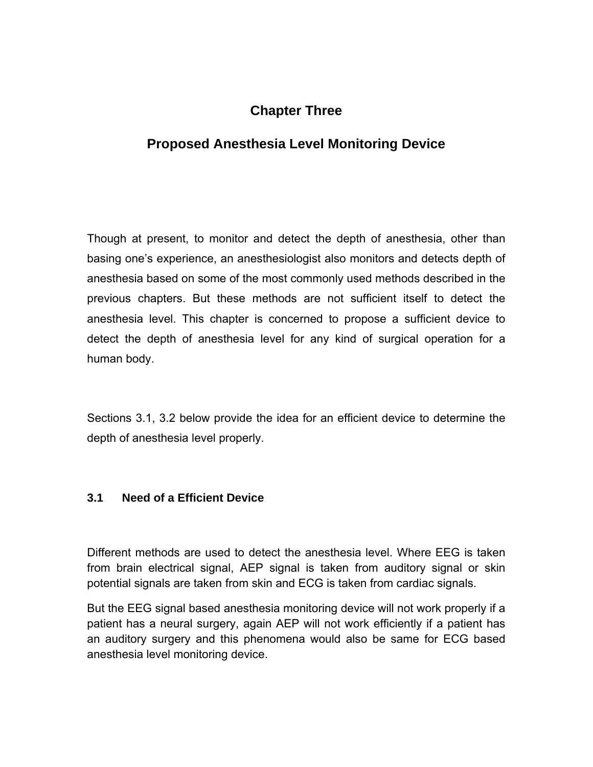# **Chapter Three**

# **Proposed Anesthesia Level Monitoring Device**

Though at present, to monitor and detect the depth of anesthesia, other than basing one's experience, an anesthesiologist also monitors and detects depth of anesthesia based on some of the most commonly used methods described in the previous chapters. But these methods are not sufficient itself to detect the anesthesia level. This chapter is concerned to propose a sufficient device to detect the depth of anesthesia level for any kind of surgical operation for a human body.

Sections 3.1, 3.2 below provide the idea for an efficient device to determine the depth of anesthesia level properly.

#### **3.1 Need of a Efficient Device**

Different methods are used to detect the anesthesia level. Where EEG is taken from brain electrical signal, AEP signal is taken from auditory signal or skin potential signals are taken from skin and ECG is taken from cardiac signals.

But the EEG signal based anesthesia monitoring device will not work properly if a patient has a neural surgery, again AEP will not work efficiently if a patient has an auditory surgery and this phenomena would also be same for ECG based anesthesia level monitoring device.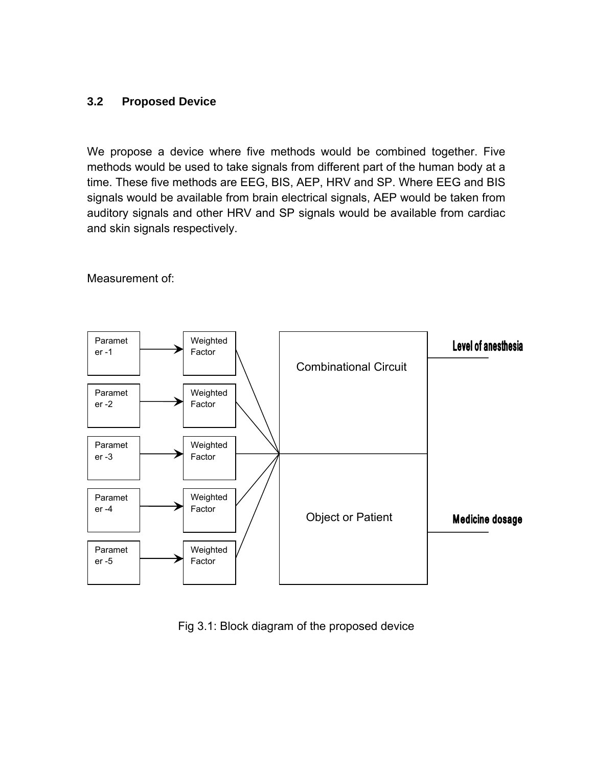#### **3.2 Proposed Device**

We propose a device where five methods would be combined together. Five methods would be used to take signals from different part of the human body at a time. These five methods are EEG, BIS, AEP, HRV and SP. Where EEG and BIS signals would be available from brain electrical signals, AEP would be taken from auditory signals and other HRV and SP signals would be available from cardiac and skin signals respectively.



Measurement of:

Fig 3.1: Block diagram of the proposed device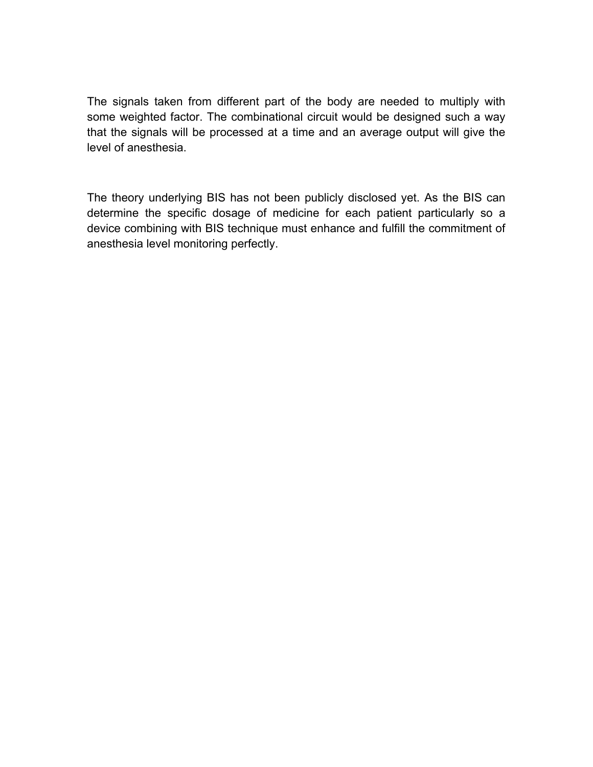The signals taken from different part of the body are needed to multiply with some weighted factor. The combinational circuit would be designed such a way that the signals will be processed at a time and an average output will give the level of anesthesia.

The theory underlying BIS has not been publicly disclosed yet. As the BIS can determine the specific dosage of medicine for each patient particularly so a device combining with BIS technique must enhance and fulfill the commitment of anesthesia level monitoring perfectly.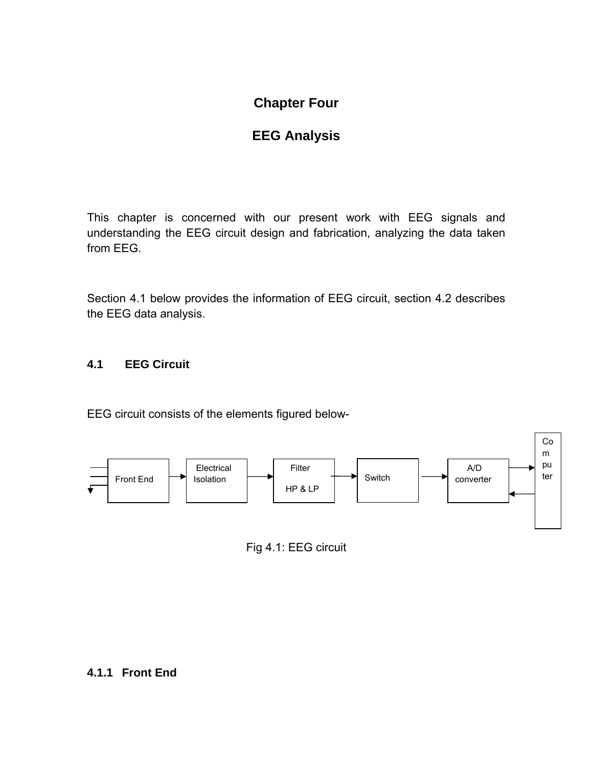# **Chapter Four**

# **EEG Analysis**

This chapter is concerned with our present work with EEG signals and understanding the EEG circuit design and fabrication, analyzing the data taken from EEG.

Section 4.1 below provides the information of EEG circuit, section 4.2 describes the EEG data analysis.

#### **4.1 EEG Circuit**

EEG circuit consists of the elements figured below-



Fig 4.1: EEG circuit

#### **4.1.1 Front End**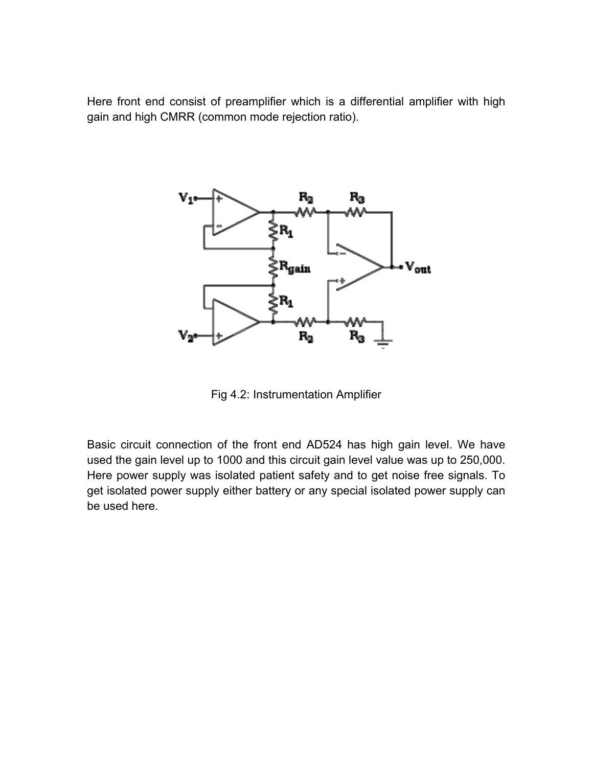Here front end consist of preamplifier which is a differential amplifier with high gain and high CMRR (common mode rejection ratio).



Fig 4.2: Instrumentation Amplifier

Basic circuit connection of the front end AD524 has high gain level. We have used the gain level up to 1000 and this circuit gain level value was up to 250,000. Here power supply was isolated patient safety and to get noise free signals. To get isolated power supply either battery or any special isolated power supply can be used here.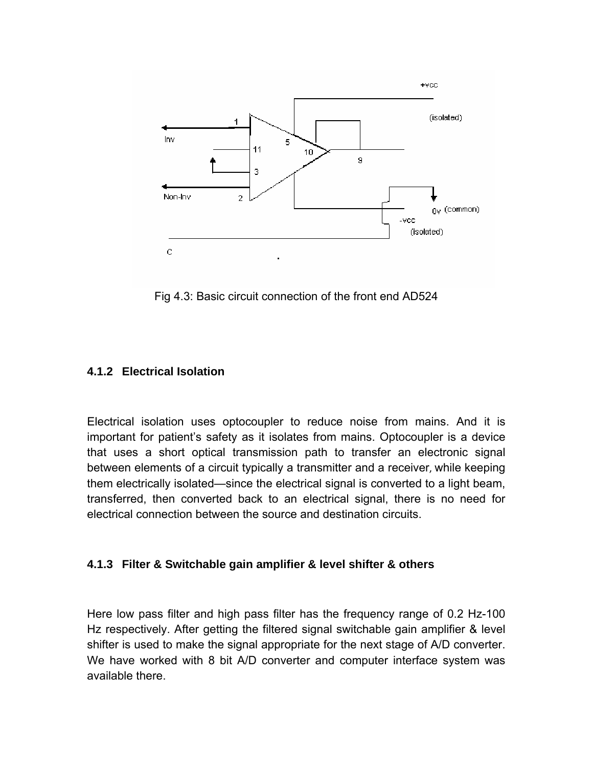

Fig 4.3: Basic circuit connection of the front end AD524

### **4.1.2 Electrical Isolation**

Electrical isolation uses optocoupler to reduce noise from mains. And it is important for patient's safety as it isolates from mains. Optocoupler is a device that uses a short optical transmission path to transfer an electronic signal between elements of a circuit typically a transmitter and a receiver, while keeping them electrically isolated—since the electrical signal is converted to a light beam, transferred, then converted back to an electrical signal, there is no need for electrical connection between the source and destination circuits.

#### **4.1.3 Filter & Switchable gain amplifier & level shifter & others**

Here low pass filter and high pass filter has the frequency range of 0.2 Hz-100 Hz respectively. After getting the filtered signal switchable gain amplifier & level shifter is used to make the signal appropriate for the next stage of A/D converter. We have worked with 8 bit A/D converter and computer interface system was available there.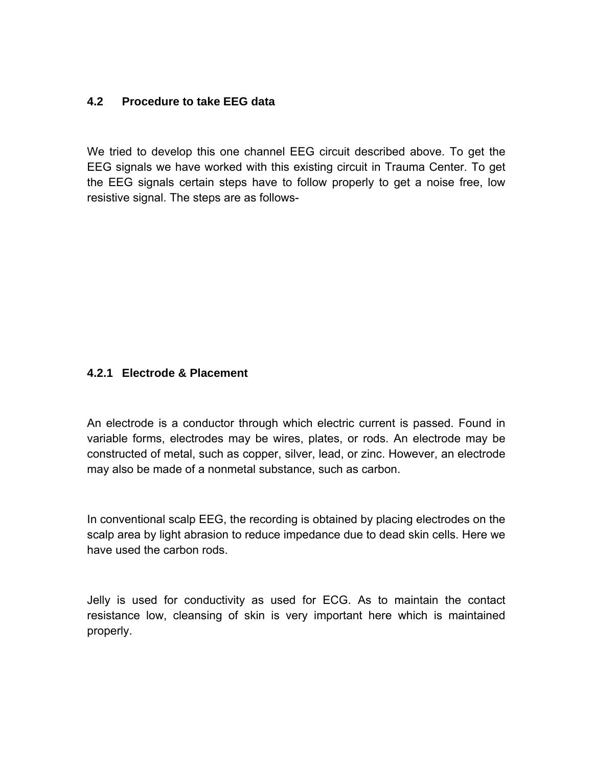#### **4.2 Procedure to take EEG data**

We tried to develop this one channel EEG circuit described above. To get the EEG signals we have worked with this existing circuit in Trauma Center. To get the EEG signals certain steps have to follow properly to get a noise free, low resistive signal. The steps are as follows-

#### **4.2.1 Electrode & Placement**

An electrode is a conductor through which electric current is passed. Found in variable forms, electrodes may be wires, plates, or rods. An electrode may be constructed of metal, such as copper, silver, lead, or zinc. However, an electrode may also be made of a nonmetal substance, such as carbon.

In conventional scalp EEG, the recording is obtained by placing electrodes on the scalp area by light abrasion to reduce impedance due to dead skin cells. Here we have used the carbon rods.

Jelly is used for conductivity as used for ECG. As to maintain the contact resistance low, cleansing of skin is very important here which is maintained properly.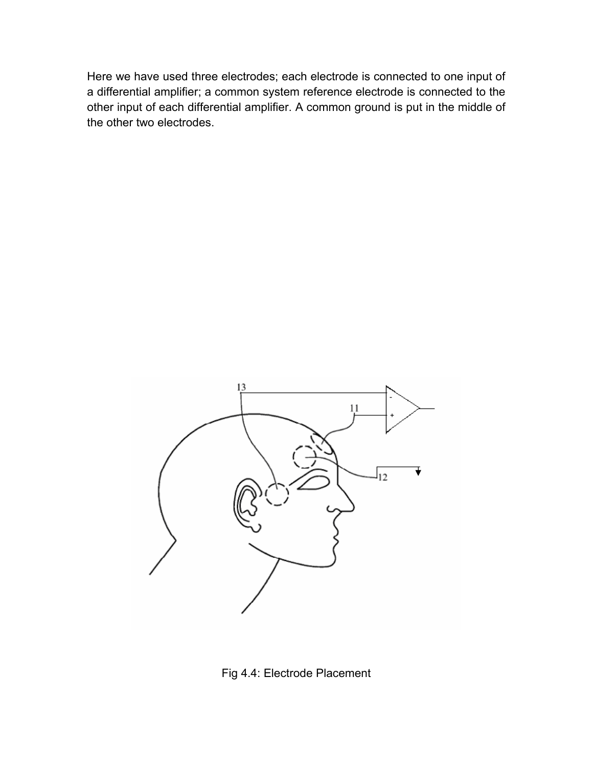Here we have used three electrodes; each electrode is connected to one input of a differential amplifier; a common system reference electrode is connected to the other input of each differential amplifier. A common ground is put in the middle of the other two electrodes.



Fig 4.4: Electrode Placement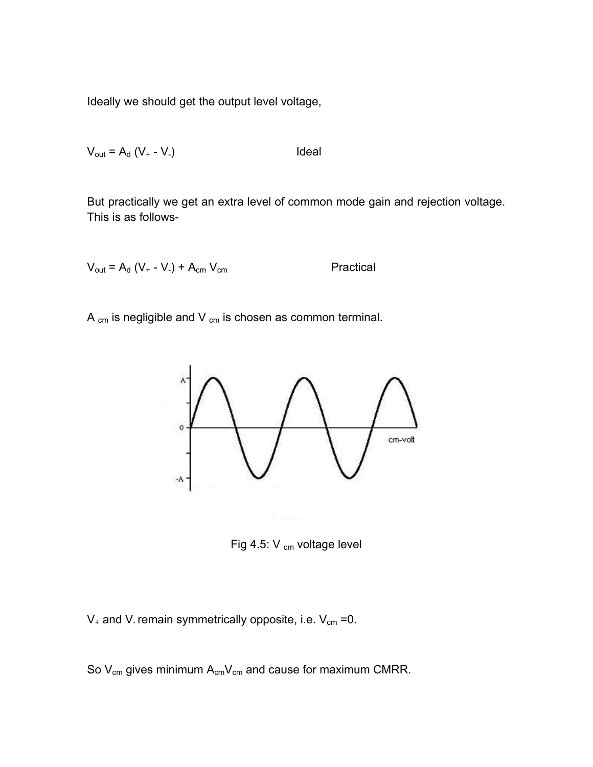Ideally we should get the output level voltage,

$$
V_{\text{out}} = A_{\text{d}} (V_{+} - V_{-})
$$
ldeal

But practically we get an extra level of common mode gain and rejection voltage. This is as follows-

$$
V_{\text{out}} = A_{\text{d}} (V_{+} - V_{-}) + A_{\text{cm}} V_{\text{cm}}
$$
Practical

A  $_{cm}$  is negligible and V  $_{cm}$  is chosen as common terminal.



Fig 4.5:  $V_{cm}$  voltage level

 $V_+$  and V<sub>-</sub> remain symmetrically opposite, i.e.  $V_{cm}$  =0.

So  $V_{cm}$  gives minimum  $A_{cm}V_{cm}$  and cause for maximum CMRR.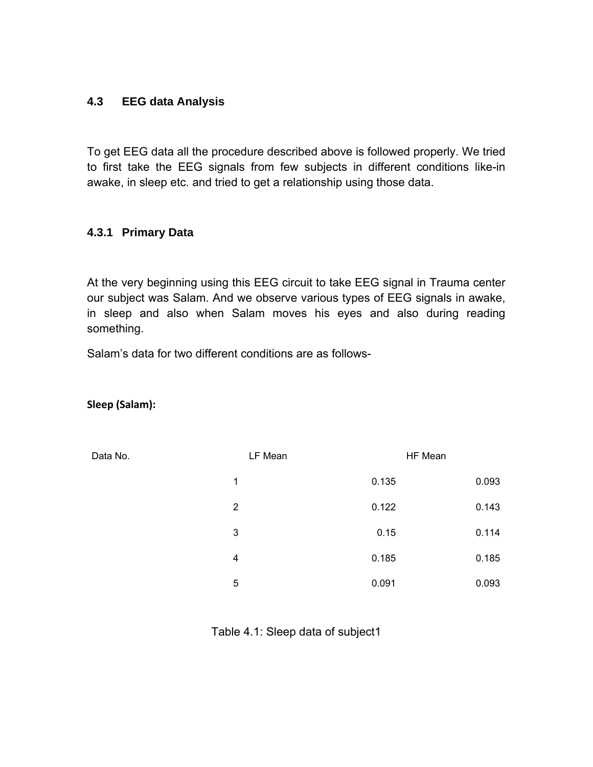#### **4.3 EEG data Analysis**

To get EEG data all the procedure described above is followed properly. We tried to first take the EEG signals from few subjects in different conditions like-in awake, in sleep etc. and tried to get a relationship using those data.

#### **4.3.1 Primary Data**

At the very beginning using this EEG circuit to take EEG signal in Trauma center our subject was Salam. And we observe various types of EEG signals in awake, in sleep and also when Salam moves his eyes and also during reading something.

Salam's data for two different conditions are as follows-

#### **Sleep (Salam):**

| Data No.       | LF Mean |       | HF Mean |       |
|----------------|---------|-------|---------|-------|
| 1              |         | 0.135 |         | 0.093 |
| $\overline{2}$ |         | 0.122 |         | 0.143 |
| 3              |         | 0.15  |         | 0.114 |
| 4              |         | 0.185 |         | 0.185 |
| 5              |         | 0.091 |         | 0.093 |

Table 4.1: Sleep data of subject1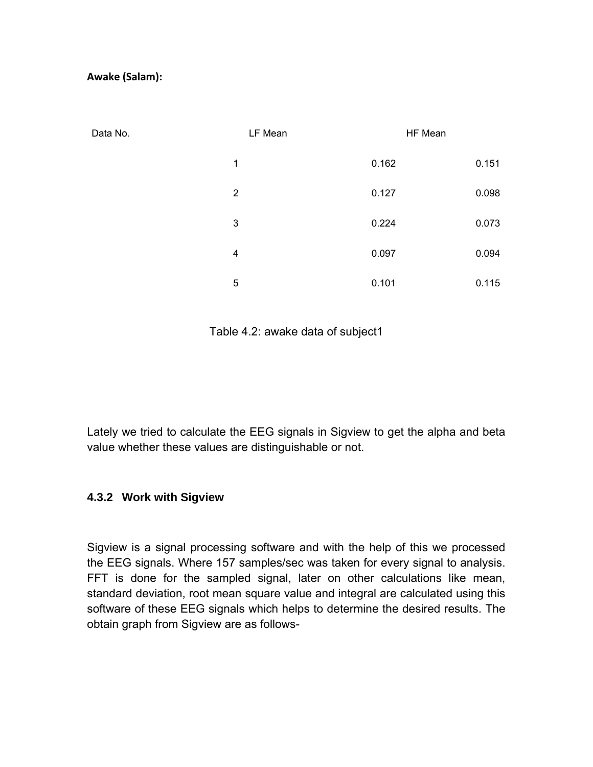#### **Awake (Salam):**

| Data No. | LF Mean        | HF Mean |       |
|----------|----------------|---------|-------|
|          | 1              | 0.162   | 0.151 |
|          | $\overline{2}$ | 0.127   | 0.098 |
|          | 3              | 0.224   | 0.073 |
|          | 4              | 0.097   | 0.094 |
|          | 5              | 0.101   | 0.115 |

Table 4.2: awake data of subject1

Lately we tried to calculate the EEG signals in Sigview to get the alpha and beta value whether these values are distinguishable or not.

#### **4.3.2 Work with Sigview**

Sigview is a signal processing software and with the help of this we processed the EEG signals. Where 157 samples/sec was taken for every signal to analysis. FFT is done for the sampled signal, later on other calculations like mean, standard deviation, root mean square value and integral are calculated using this software of these EEG signals which helps to determine the desired results. The obtain graph from Sigview are as follows-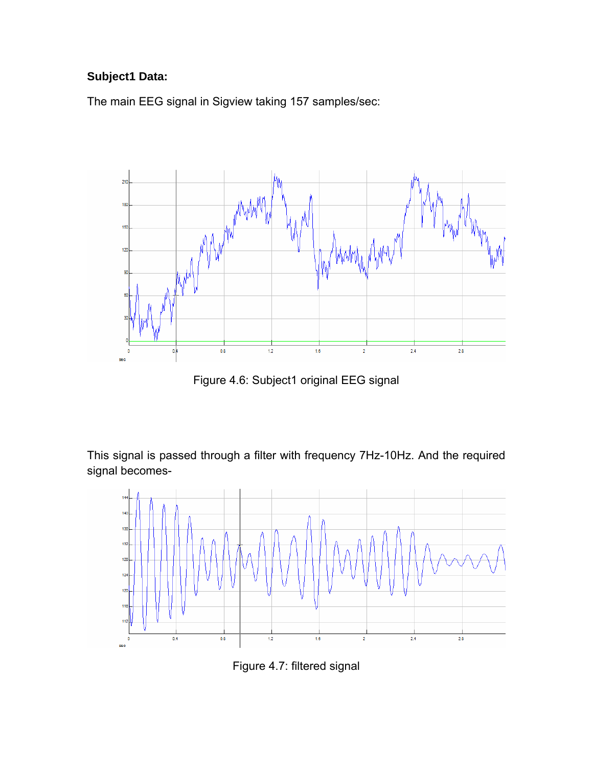## **Subject1 Data:**

The main EEG signal in Sigview taking 157 samples/sec:



Figure 4.6: Subject1 original EEG signal

This signal is passed through a filter with frequency 7Hz-10Hz. And the required signal becomes-



Figure 4.7: filtered signal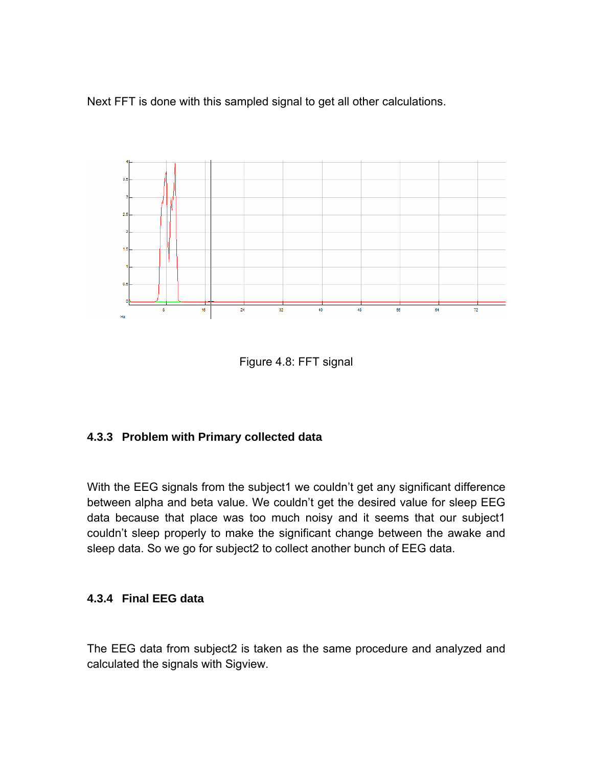Next FFT is done with this sampled signal to get all other calculations.



Figure 4.8: FFT signal

#### **4.3.3 Problem with Primary collected data**

With the EEG signals from the subject1 we couldn't get any significant difference between alpha and beta value. We couldn't get the desired value for sleep EEG data because that place was too much noisy and it seems that our subject1 couldn't sleep properly to make the significant change between the awake and sleep data. So we go for subject2 to collect another bunch of EEG data.

#### **4.3.4 Final EEG data**

The EEG data from subject2 is taken as the same procedure and analyzed and calculated the signals with Sigview.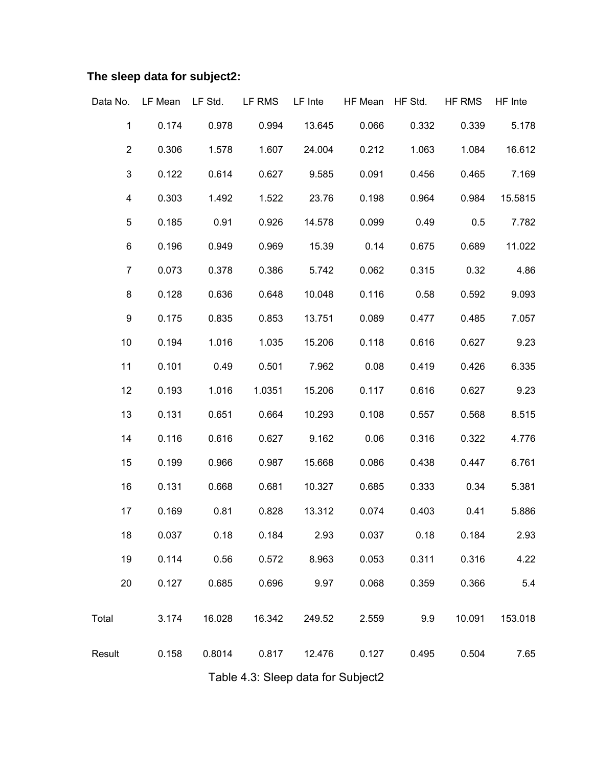# **The sleep data for subject2:**

|                         | Data No. LF Mean                           | LF Std. LF RMS                            |        | LF Inte    | HF Mean | HF Std. | HF RMS | HF Inte |
|-------------------------|--------------------------------------------|-------------------------------------------|--------|------------|---------|---------|--------|---------|
| $\mathbf 1$             | 0.174                                      | 0.978                                     | 0.994  | 13.645     | 0.066   | 0.332   | 0.339  | 5.178   |
| $\overline{c}$          | 0.306                                      | 1.578                                     | 1.607  | 24.004     | 0.212   | 1.063   | 1.084  | 16.612  |
| 3                       | 0.122                                      | 0.614                                     | 0.627  | 9.585      | 0.091   | 0.456   | 0.465  | 7.169   |
| $\overline{\mathbf{4}}$ | 0.303                                      | 1.492                                     | 1.522  | 23.76      | 0.198   | 0.964   | 0.984  | 15.5815 |
| 5                       | 0.185                                      | 0.91                                      | 0.926  | 14.578     | 0.099   | 0.49    | 0.5    | 7.782   |
| 6                       | 0.196                                      | 0.949                                     | 0.969  | 15.39      | 0.14    | 0.675   | 0.689  | 11.022  |
| $\overline{7}$          | 0.073                                      | 0.378                                     | 0.386  | 5.742      | 0.062   | 0.315   | 0.32   | 4.86    |
| 8                       | 0.128                                      | 0.636                                     | 0.648  | 10.048     | 0.116   | 0.58    | 0.592  | 9.093   |
| 9                       | 0.175                                      | 0.835                                     | 0.853  | 13.751     | 0.089   | 0.477   | 0.485  | 7.057   |
| 10                      | 0.194                                      | 1.016                                     | 1.035  | 15.206     | 0.118   | 0.616   | 0.627  | 9.23    |
| 11                      | 0.101                                      | 0.49                                      | 0.501  | 7.962      | 0.08    | 0.419   | 0.426  | 6.335   |
| 12                      | 0.193                                      | 1.016                                     | 1.0351 | 15.206     | 0.117   | 0.616   | 0.627  | 9.23    |
| 13                      | 0.131                                      | 0.651                                     | 0.664  | 10.293     | 0.108   | 0.557   | 0.568  | 8.515   |
| 14                      | 0.116                                      | 0.616                                     | 0.627  | 9.162      | 0.06    | 0.316   | 0.322  | 4.776   |
| 15                      | 0.199                                      | 0.966                                     | 0.987  | 15.668     | 0.086   | 0.438   | 0.447  | 6.761   |
| 16                      | 0.131                                      | 0.668                                     | 0.681  | 10.327     | 0.685   | 0.333   | 0.34   | 5.381   |
| 17                      | 0.169                                      | 0.81                                      | 0.828  | 13.312     | 0.074   | 0.403   | 0.41   | 5.886   |
| 18                      | 0.037                                      | 0.18                                      | 0.184  | 2.93       | 0.037   | 0.18    | 0.184  | 2.93    |
| 19                      | 0.114                                      | 0.56                                      | 0.572  | 8.963      | 0.053   | 0.311   | 0.316  | 4.22    |
| 20                      | 0.127                                      | 0.685                                     |        | 0.696 9.97 | 0.068   | 0.359   | 0.366  | 5.4     |
| Total                   |                                            | 3.174  16.028  16.342  249.52  2.559  9.9 |        |            |         |         | 10.091 | 153.018 |
| Result                  | 0.158  0.8014  0.817  12.476  0.127  0.495 |                                           |        |            |         |         | 0.504  | 7.65    |
|                         |                                            |                                           |        |            |         |         |        |         |

Table 4.3: Sleep data for Subject2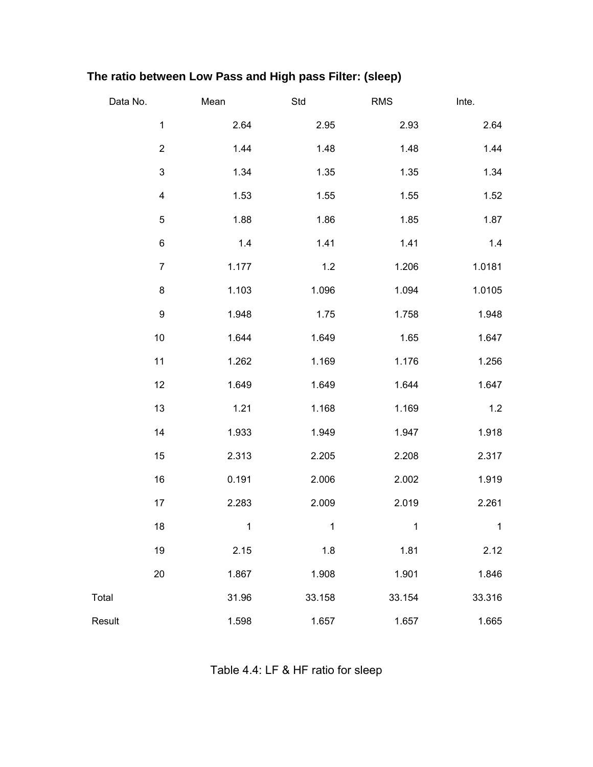# **The ratio between Low Pass and High pass Filter: (sleep)**

| Data No. |                         | Mean         | Std          | RMS          | Inte.        |
|----------|-------------------------|--------------|--------------|--------------|--------------|
|          | $\mathbf{1}$            | 2.64         | 2.95         | 2.93         | 2.64         |
|          | $\overline{c}$          | 1.44         | 1.48         | 1.48         | 1.44         |
|          | $\mathsf 3$             | 1.34         | 1.35         | 1.35         | 1.34         |
|          | $\overline{\mathbf{4}}$ | 1.53         | 1.55         | 1.55         | 1.52         |
|          | $\mathbf 5$             | 1.88         | 1.86         | 1.85         | 1.87         |
|          | 6                       | 1.4          | 1.41         | 1.41         | 1.4          |
|          | $\overline{7}$          | 1.177        | $1.2$        | 1.206        | 1.0181       |
|          | 8                       | 1.103        | 1.096        | 1.094        | 1.0105       |
|          | 9                       | 1.948        | 1.75         | 1.758        | 1.948        |
|          | $10$                    | 1.644        | 1.649        | 1.65         | 1.647        |
|          | 11                      | 1.262        | 1.169        | 1.176        | 1.256        |
|          | 12                      | 1.649        | 1.649        | 1.644        | 1.647        |
|          | 13                      | 1.21         | 1.168        | 1.169        | $1.2$        |
|          | 14                      | 1.933        | 1.949        | 1.947        | 1.918        |
|          | 15                      | 2.313        | 2.205        | 2.208        | 2.317        |
|          | 16                      | 0.191        | 2.006        | 2.002        | 1.919        |
|          | 17                      | 2.283        | 2.009        | 2.019        | 2.261        |
|          | 18                      | $\mathbf{1}$ | $\mathbf{1}$ | $\mathbf{1}$ | $\mathbf{1}$ |
|          | 19                      | 2.15         | 1.8          | 1.81         | 2.12         |
|          | 20                      | 1.867        | 1.908        | 1.901        | 1.846        |
| Total    |                         | 31.96        | 33.158       | 33.154       | 33.316       |
| Result   |                         | 1.598        | 1.657        | 1.657        | 1.665        |

Table 4.4: LF & HF ratio for sleep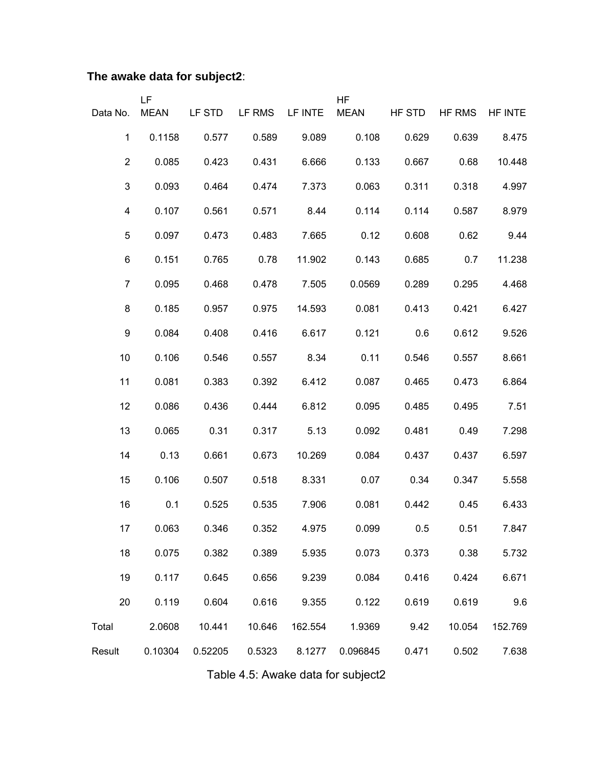# **The awake data for subject2**:

|                         | LF          |         |        |         | <b>HF</b>   |        |        |         |
|-------------------------|-------------|---------|--------|---------|-------------|--------|--------|---------|
| Data No.                | <b>MEAN</b> | LF STD  | LF RMS | LF INTE | <b>MEAN</b> | HF STD | HF RMS | HF INTE |
| 1                       | 0.1158      | 0.577   | 0.589  | 9.089   | 0.108       | 0.629  | 0.639  | 8.475   |
| $\mathbf{2}$            | 0.085       | 0.423   | 0.431  | 6.666   | 0.133       | 0.667  | 0.68   | 10.448  |
| $\mathfrak{S}$          | 0.093       | 0.464   | 0.474  | 7.373   | 0.063       | 0.311  | 0.318  | 4.997   |
| $\overline{\mathbf{4}}$ | 0.107       | 0.561   | 0.571  | 8.44    | 0.114       | 0.114  | 0.587  | 8.979   |
| 5                       | 0.097       | 0.473   | 0.483  | 7.665   | 0.12        | 0.608  | 0.62   | 9.44    |
| 6                       | 0.151       | 0.765   | 0.78   | 11.902  | 0.143       | 0.685  | 0.7    | 11.238  |
| $\overline{7}$          | 0.095       | 0.468   | 0.478  | 7.505   | 0.0569      | 0.289  | 0.295  | 4.468   |
| 8                       | 0.185       | 0.957   | 0.975  | 14.593  | 0.081       | 0.413  | 0.421  | 6.427   |
| $\boldsymbol{9}$        | 0.084       | 0.408   | 0.416  | 6.617   | 0.121       | 0.6    | 0.612  | 9.526   |
| 10                      | 0.106       | 0.546   | 0.557  | 8.34    | 0.11        | 0.546  | 0.557  | 8.661   |
| 11                      | 0.081       | 0.383   | 0.392  | 6.412   | 0.087       | 0.465  | 0.473  | 6.864   |
| 12                      | 0.086       | 0.436   | 0.444  | 6.812   | 0.095       | 0.485  | 0.495  | 7.51    |
| 13                      | 0.065       | 0.31    | 0.317  | 5.13    | 0.092       | 0.481  | 0.49   | 7.298   |
| 14                      | 0.13        | 0.661   | 0.673  | 10.269  | 0.084       | 0.437  | 0.437  | 6.597   |
| 15                      | 0.106       | 0.507   | 0.518  | 8.331   | 0.07        | 0.34   | 0.347  | 5.558   |
| 16                      | 0.1         | 0.525   | 0.535  | 7.906   | 0.081       | 0.442  | 0.45   | 6.433   |
| 17                      | 0.063       | 0.346   | 0.352  | 4.975   | 0.099       | 0.5    | 0.51   | 7.847   |
| 18                      | 0.075       | 0.382   | 0.389  | 5.935   | 0.073       | 0.373  | 0.38   | 5.732   |
| 19                      | 0.117       | 0.645   | 0.656  | 9.239   | 0.084       | 0.416  | 0.424  | 6.671   |
| 20                      | 0.119       | 0.604   | 0.616  | 9.355   | 0.122       | 0.619  | 0.619  | 9.6     |
| Total                   | 2.0608      | 10.441  | 10.646 | 162.554 | 1.9369      | 9.42   | 10.054 | 152.769 |
| Result                  | 0.10304     | 0.52205 | 0.5323 | 8.1277  | 0.096845    | 0.471  | 0.502  | 7.638   |

Table 4.5: Awake data for subject2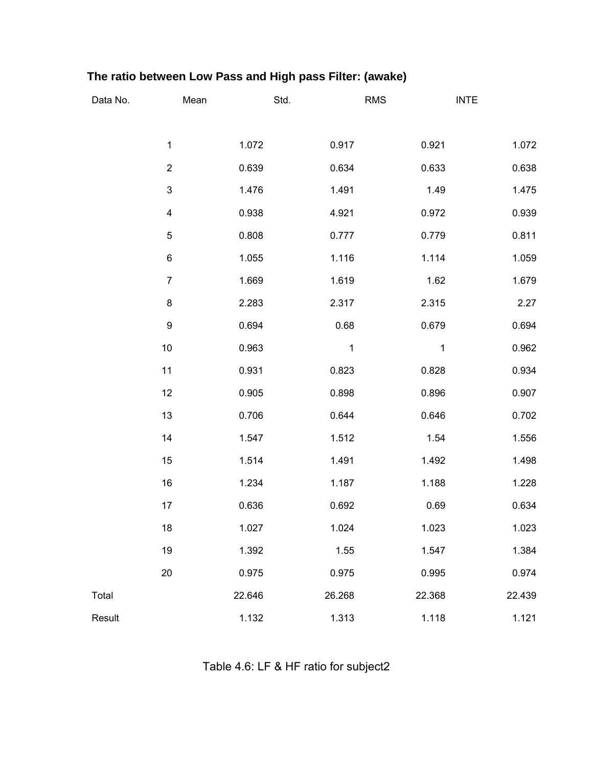# **The ratio between Low Pass and High pass Filter: (awake)**

| Data No. | Mean                      |        | Std.        | <b>RMS</b> | <b>INTE</b> |
|----------|---------------------------|--------|-------------|------------|-------------|
|          |                           |        |             |            |             |
|          | 1                         | 1.072  | 0.917       | 0.921      | 1.072       |
|          | $\boldsymbol{2}$          | 0.639  | 0.634       | 0.633      | 0.638       |
|          | $\ensuremath{\mathsf{3}}$ | 1.476  | 1.491       | 1.49       | 1.475       |
|          | $\overline{\mathbf{4}}$   | 0.938  | 4.921       | 0.972      | 0.939       |
|          | $\mathbf 5$               | 0.808  | 0.777       | 0.779      | 0.811       |
|          | $\,6$                     | 1.055  | 1.116       | 1.114      | 1.059       |
|          | $\overline{7}$            | 1.669  | 1.619       | 1.62       | 1.679       |
|          | $\bf 8$                   | 2.283  | 2.317       | 2.315      | 2.27        |
|          | $\boldsymbol{9}$          | 0.694  | 0.68        | 0.679      | 0.694       |
|          | 10                        | 0.963  | $\mathbf 1$ | 1          | 0.962       |
|          | 11                        | 0.931  | 0.823       | 0.828      | 0.934       |
|          | 12                        | 0.905  | 0.898       | 0.896      | 0.907       |
|          | 13                        | 0.706  | 0.644       | 0.646      | 0.702       |
|          | 14                        | 1.547  | 1.512       | 1.54       | 1.556       |
|          | 15                        | 1.514  | 1.491       | 1.492      | 1.498       |
|          | 16                        | 1.234  | 1.187       | 1.188      | 1.228       |
|          | 17                        | 0.636  | 0.692       | 0.69       | 0.634       |
|          | 18                        | 1.027  | 1.024       | 1.023      | 1.023       |
|          | 19                        | 1.392  | 1.55        | 1.547      | 1.384       |
|          | 20                        | 0.975  | 0.975       | 0.995      | 0.974       |
| Total    |                           | 22.646 | 26.268      | 22.368     | 22.439      |
| Result   |                           | 1.132  | 1.313       | 1.118      | 1.121       |

Table 4.6: LF & HF ratio for subject2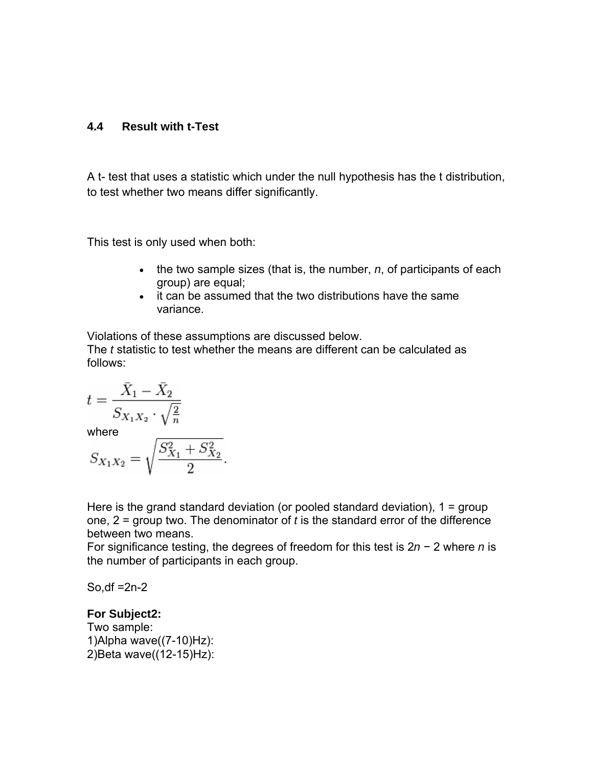#### **4.4 Result with t-Test**

A t- test that uses a statistic which under the null hypothesis has the t distribution, to test whether two means differ significantly.

This test is only used when both:

- the two sample sizes (that is, the number, *n*, of participants of each group) are equal;
- it can be assumed that the two distributions have the same variance.

Violations of these assumptions are discussed below.

The *t* statistic to test whether the means are different can be calculated as follows:

$$
t = \frac{\bar{X}_1 - \bar{X}_2}{S_{X_1 X_2} \cdot \sqrt{\frac{2}{n}}}
$$

where  $S_{X_1X_2} = \sqrt{\frac{S_{X_1}^2 + S_{X_2}^2}{2}}.$ 

Here is the grand standard deviation (or pooled standard deviation), 1 = group one, 2 = group two. The denominator of *t* is the standard error of the difference between two means.

For significance testing, the degrees of freedom for this test is 2*n* − 2 where *n* is the number of participants in each group.

So,df  $=2n-2$ 

#### **For Subject2:**

Two sample: 1)Alpha wave((7-10)Hz): 2)Beta wave((12-15)Hz):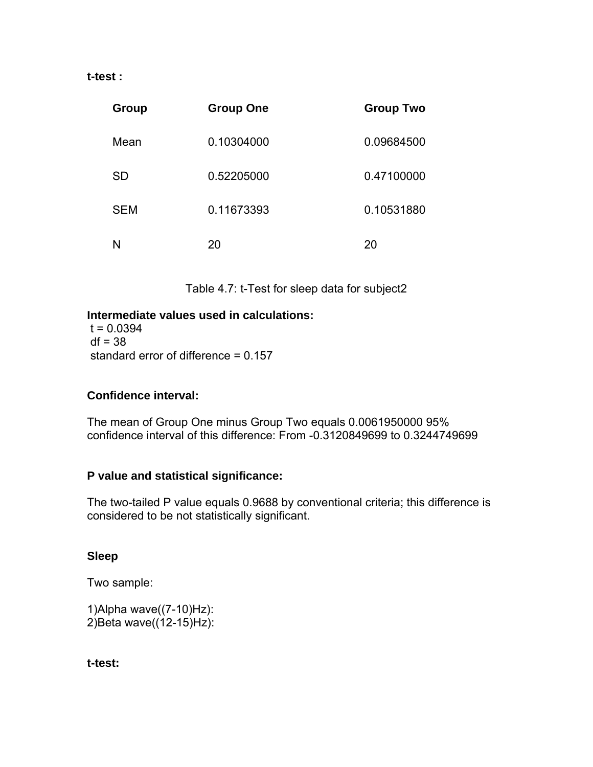#### **t-test :**

| Group      | <b>Group One</b> | <b>Group Two</b> |
|------------|------------------|------------------|
| Mean       | 0.10304000       | 0.09684500       |
| <b>SD</b>  | 0.52205000       | 0.47100000       |
| <b>SEM</b> | 0.11673393       | 0.10531880       |
| N          | 20               | 20               |

Table 4.7: t-Test for sleep data for subject2

#### **Intermediate values used in calculations:**

 $t = 0.0394$  $df = 38$ standard error of difference = 0.157

#### **Confidence interval:**

The mean of Group One minus Group Two equals 0.0061950000 95% confidence interval of this difference: From -0.3120849699 to 0.3244749699

#### **P value and statistical significance:**

The two-tailed P value equals 0.9688 by conventional criteria; this difference is considered to be not statistically significant.

#### **Sleep**

Two sample:

1)Alpha wave((7-10)Hz): 2)Beta wave((12-15)Hz):

**t-test:**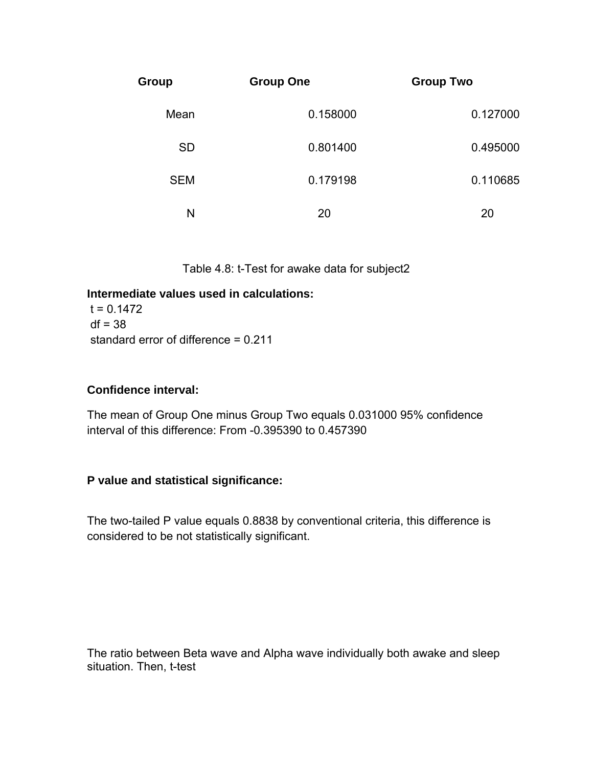| Group      | <b>Group One</b> | <b>Group Two</b> |
|------------|------------------|------------------|
| Mean       | 0.158000         | 0.127000         |
| <b>SD</b>  | 0.801400         | 0.495000         |
| <b>SEM</b> | 0.179198         | 0.110685         |
| N          | 20               | 20               |

Table 4.8: t-Test for awake data for subject2

#### **Intermediate values used in calculations:**

 $t = 0.1472$  $df = 38$ standard error of difference = 0.211

#### **Confidence interval:**

The mean of Group One minus Group Two equals 0.031000 95% confidence interval of this difference: From -0.395390 to 0.457390

#### **P value and statistical significance:**

The two-tailed P value equals 0.8838 by conventional criteria, this difference is considered to be not statistically significant.

The ratio between Beta wave and Alpha wave individually both awake and sleep situation. Then, t-test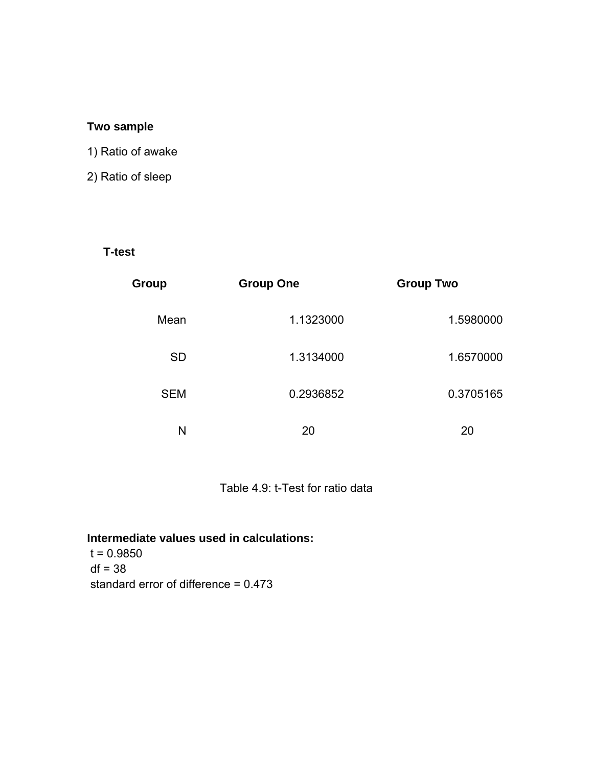#### **Two sample**

### 1) Ratio of awake

### 2) Ratio of sleep

#### **T-test**

| Group      | <b>Group One</b> | <b>Group Two</b> |
|------------|------------------|------------------|
| Mean       | 1.1323000        | 1.5980000        |
| <b>SD</b>  | 1.3134000        | 1.6570000        |
| <b>SEM</b> | 0.2936852        | 0.3705165        |
| N          | 20               | 20               |

### Table 4.9: t-Test for ratio data

### **Intermediate values used in calculations:**

 $t = 0.9850$  $df = 38$ standard error of difference = 0.473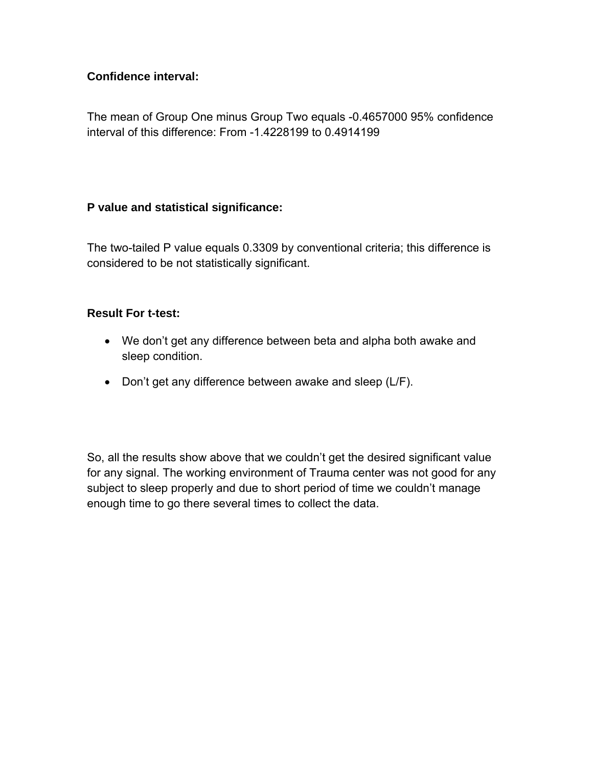#### **Confidence interval:**

The mean of Group One minus Group Two equals -0.4657000 95% confidence interval of this difference: From -1.4228199 to 0.4914199

#### **P value and statistical significance:**

The two-tailed P value equals 0.3309 by conventional criteria; this difference is considered to be not statistically significant.

#### **Result For t-test:**

- We don't get any difference between beta and alpha both awake and sleep condition.
- Don't get any difference between awake and sleep (L/F).

So, all the results show above that we couldn't get the desired significant value for any signal. The working environment of Trauma center was not good for any subject to sleep properly and due to short period of time we couldn't manage enough time to go there several times to collect the data.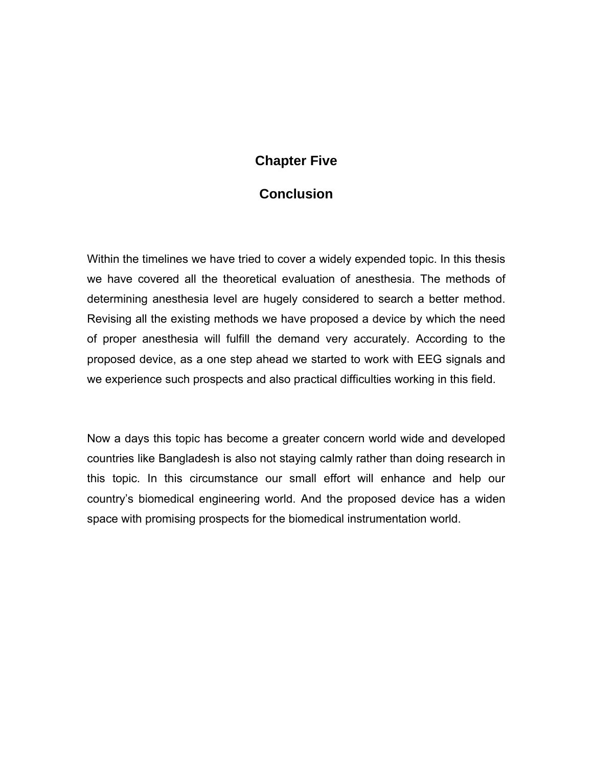## **Chapter Five**

### **Conclusion**

Within the timelines we have tried to cover a widely expended topic. In this thesis we have covered all the theoretical evaluation of anesthesia. The methods of determining anesthesia level are hugely considered to search a better method. Revising all the existing methods we have proposed a device by which the need of proper anesthesia will fulfill the demand very accurately. According to the proposed device, as a one step ahead we started to work with EEG signals and we experience such prospects and also practical difficulties working in this field.

Now a days this topic has become a greater concern world wide and developed countries like Bangladesh is also not staying calmly rather than doing research in this topic. In this circumstance our small effort will enhance and help our country's biomedical engineering world. And the proposed device has a widen space with promising prospects for the biomedical instrumentation world.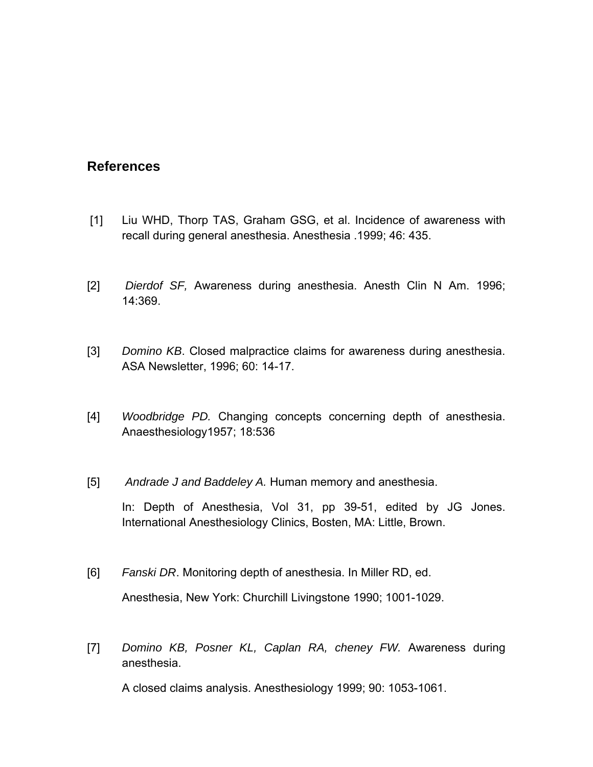### **References**

- [1] Liu WHD, Thorp TAS, Graham GSG, et al. Incidence of awareness with recall during general anesthesia. Anesthesia .1999; 46: 435.
- [2] *Dierdof SF,* Awareness during anesthesia. Anesth Clin N Am. 1996; 14:369.
- [3] *Domino KB*. Closed malpractice claims for awareness during anesthesia. ASA Newsletter, 1996; 60: 14-17.
- [4] *Woodbridge PD.* Changing concepts concerning depth of anesthesia. Anaesthesiology1957; 18:536
- [5] *Andrade J and Baddeley A.* Human memory and anesthesia.

In: Depth of Anesthesia, Vol 31, pp 39-51, edited by JG Jones. International Anesthesiology Clinics, Bosten, MA: Little, Brown.

- [6] *Fanski DR*. Monitoring depth of anesthesia. In Miller RD, ed. Anesthesia, New York: Churchill Livingstone 1990; 1001-1029.
- [7] *Domino KB, Posner KL, Caplan RA, cheney FW.* Awareness during anesthesia.

A closed claims analysis. Anesthesiology 1999; 90: 1053-1061.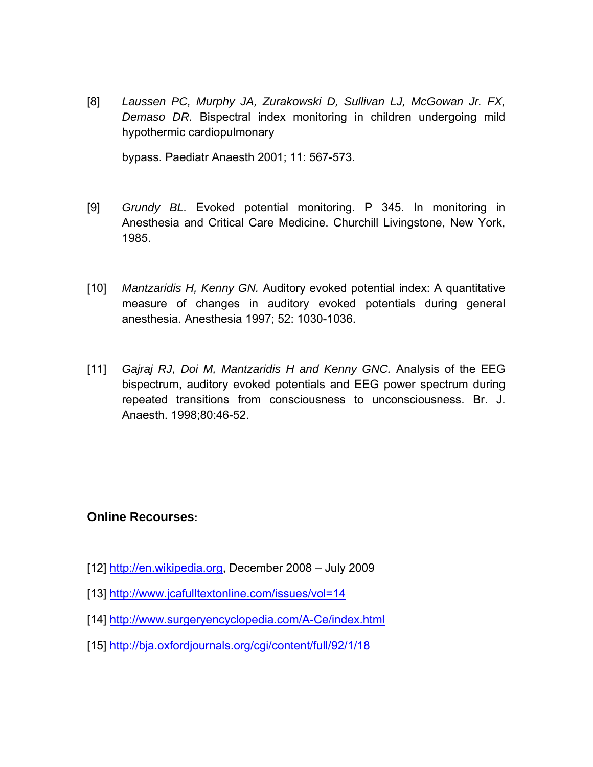[8] *Laussen PC, Murphy JA, Zurakowski D, Sullivan LJ, McGowan Jr. FX, Demaso DR.* Bispectral index monitoring in children undergoing mild hypothermic cardiopulmonary

bypass. Paediatr Anaesth 2001; 11: 567-573.

- [9] *Grundy BL.* Evoked potential monitoring. P 345. In monitoring in Anesthesia and Critical Care Medicine. Churchill Livingstone, New York, 1985.
- [10] *Mantzaridis H, Kenny GN.* Auditory evoked potential index: A quantitative measure of changes in auditory evoked potentials during general anesthesia. Anesthesia 1997; 52: 1030-1036.
- [11] *Gajraj RJ, Doi M, Mantzaridis H and Kenny GNC.* Analysis of the EEG bispectrum, auditory evoked potentials and EEG power spectrum during repeated transitions from consciousness to unconsciousness. Br. J. Anaesth. 1998;80:46-52.

### **Online Recourses:**

- [12] [http://en.wikipedia.org](http://en.wikipedia.org/), December 2008 July 2009
- [13]<http://www.jcafulltextonline.com/issues/vol=14>
- [14]<http://www.surgeryencyclopedia.com/A-Ce/index.html>
- [15]<http://bja.oxfordjournals.org/cgi/content/full/92/1/18>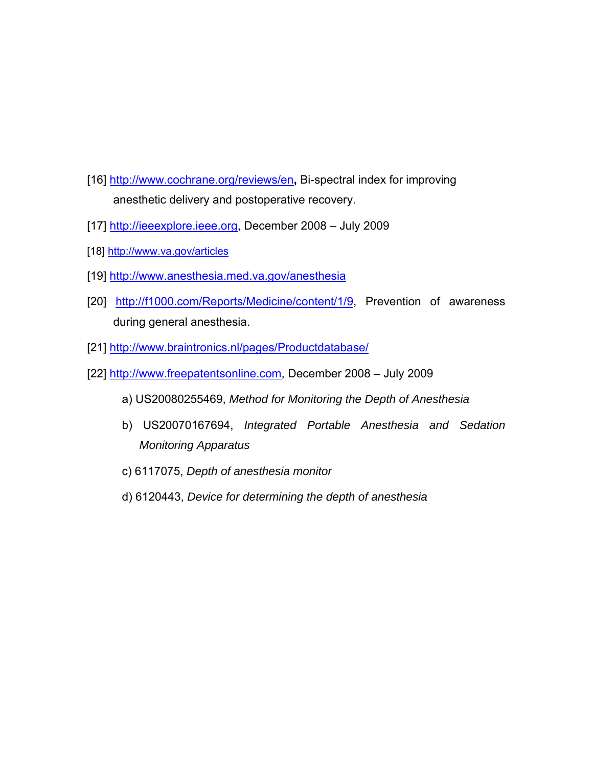- [16]<http://www.cochrane.org/reviews/en>**,** Bi-spectral index for improving anesthetic delivery and postoperative recovery.
- [17] [http://ieeexplore.ieee.org](http://ieeexplore.ieee.org/xpl/freeabs_all.jsp?tp=&arnumber=95119&isnumber=3075), December 2008 July 2009
- [18]<http://www.va.gov/articles>
- [19]<http://www.anesthesia.med.va.gov/anesthesia>
- [20] [http://f1000.com/Reports/Medicine/content/1/9,](http://f1000.com/Reports/Medicine/content/1/9) Prevention of awareness during general anesthesia.
- [21]<http://www.braintronics.nl/pages/Productdatabase/>
- [22] [http://www.freepatentsonline.com,](http://www.freepatentsonline.com/) December 2008 July 2009
	- a) US20080255469, *Method for Monitoring the Depth of Anesthesia*
	- b) US20070167694, *Integrated Portable Anesthesia and Sedation Monitoring Apparatus*
	- c) 6117075, *Depth of anesthesia monitor*
	- d) 6120443, *Device for determining the depth of anesthesia*